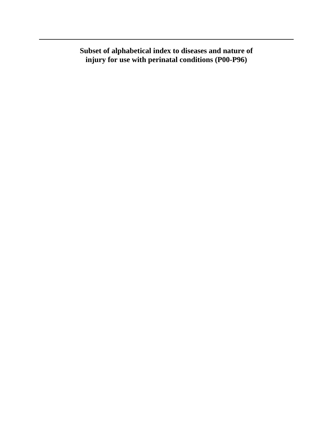**Subset of alphabetical index to diseases and nature of injury for use with perinatal conditions (P00-P96)**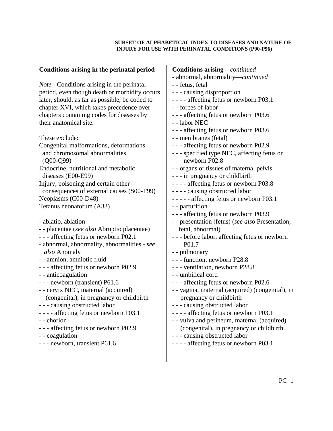# **Conditions arising in the perinatal period**

*Note* - Conditions arising in the perinatal period, even though death or morbidity occurs later, should, as far as possible, be coded to chapter XVI, which takes precedence over chapters containing codes for diseases by their anatomical site.

These exclude: Congenital malformations, deformations and chromosomal abnormalities (Q00-Q99) Endocrine, nutritional and metabolic diseases (E00-E99) Injury, poisoning and certain other consequences of external causes (S00-T99) Neoplasms (C00-D48) Tetanus neonatorum (A33)

- ablatio, ablation - - placentae (*see also* Abruptio placentae) - - - affecting fetus or newborn P02.1 - abnormal, abnormality, abnormalities - *see also* Anomaly - - amnion, amniotic fluid - - - affecting fetus or newborn P02.9 - - anticoagulation - - - newborn (transient) P61.6 - - cervix NEC, maternal (acquired) (congenital), in pregnancy or childbirth - - - causing obstructed labor - - - - affecting fetus or newborn P03.1 - - chorion - - - affecting fetus or newborn P02.9

- - coagulation
- - newborn, transient P61.6

**Conditions arising**—*continued*  - abnormal, abnormality—*continued*  - - fetus, fetal - - - causing disproportion - - - - affecting fetus or newborn P03.1 - - forces of labor - - - affecting fetus or newborn P03.6 - - labor NEC - - - affecting fetus or newborn P03.6 - - membranes (fetal) - - - affecting fetus or newborn P02.9 - - - specified type NEC, affecting fetus or newborn P02.8 - - organs or tissues of maternal pelvis - - - in pregnancy or childbirth - - - - affecting fetus or newborn P03.8 - - - - causing obstructed labor - - - - - affecting fetus or newborn P03.1 - - parturition - - - affecting fetus or newborn P03.9 - - presentation (fetus) (*see also* Presentation, fetal, abnormal) - - - before labor, affecting fetus or newborn P01.7 - - pulmonary - - - function, newborn P28.8 - - - ventilation, newborn P28.8 - - umbilical cord - - - affecting fetus or newborn P02.6 - - vagina, maternal (acquired) (congenital), in pregnancy or childbirth - - - causing obstructed labor - - - - affecting fetus or newborn P03.1 - - vulva and perineum, maternal (acquired) (congenital), in pregnancy or childbirth - - - causing obstructed labor - - - - affecting fetus or newborn P03.1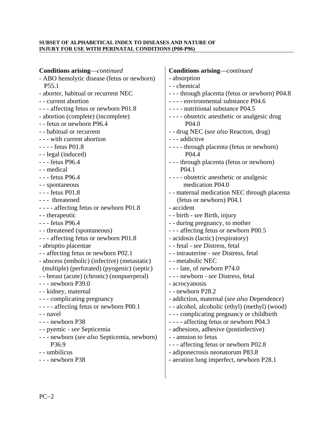| <b>Conditions arising</b> —continued<br>- ABO hemolytic disease (fetus or newborn)<br>P <sub>55.1</sub><br>- aborter, habitual or recurrent NEC<br>- - current abortion<br>- - - affecting fetus or newborn P01.8<br>- abortion (complete) (incomplete)<br>- - fetus or newborn P96.4<br>- - habitual or recurrent<br>- - - with current abortion<br>$---$ fetus P01.8<br>- - legal (induced)<br>- - - fetus P96.4<br>- - medical<br>- - - fetus P96.4<br>- - spontaneous<br>- - - fetus P01.8<br>--- threatened<br>- - - - affecting fetus or newborn P01.8<br>- - therapeutic<br>- - - fetus P96.4<br>- - threatened (spontaneous)<br>- - - affecting fetus or newborn P01.8<br>- abruptio placentae<br>- - affecting fetus or newborn P02.1<br>- abscess (embolic) (infective) (metastatic)<br>(multiple) (perforated) (pyogenic) (septic)<br>- - breast (acute) (chronic) (nonpuerperal)<br>$--$ newborn P39.0<br>- - kidney, maternal<br>- - - complicating pregnancy<br>- - - - affecting fetus or newborn P00.1<br>- - navel<br>- - - newborn P38<br>- - pyemic - see Septicemia<br>- - - newborn (see also Septicemia, newborn)<br>P36.9<br>- - umbilicus<br>- - - newborn P38 | <b>Conditions arising</b> —continued<br>- absorption<br>- - chemical<br>- - - through placenta (fetus or newborn) P04.8<br>- - - - environmental substance P04.6<br>---- nutritional substance P04.5<br>- - - - obstetric anesthetic or analgesic drug<br>P <sub>04.0</sub><br>- - drug NEC (see also Reaction, drug)<br>- - - addictive<br>- - - - through placenta (fetus or newborn)<br>P <sub>04.4</sub><br>- - - through placenta (fetus or newborn)<br>P <sub>04.1</sub><br>- - - - obstetric anesthetic or analgesic<br>medication P04.0<br>- - maternal medication NEC through placenta<br>(fetus or newborn) P04.1<br>- accident<br>- - birth - see Birth, injury<br>- - during pregnancy, to mother<br>--- affecting fetus or newborn P00.5<br>- acidosis (lactic) (respiratory)<br>- - fetal - see Distress, fetal<br>- - intrauterine - see Distress, fetal<br>- - metabolic NEC<br>- - - late, of newborn P74.0<br>--- newborn - see Distress, fetal<br>- acrocyanosis<br>- - newborn P28.2<br>- addiction, maternal (see also Dependence)<br>- - alcohol, alcoholic (ethyl) (methyl) (wood)<br>- - - complicating pregnancy or childbirth<br>---- affecting fetus or newborn P04.3<br>- adhesions, adhesive (postinfective)<br>- - amnion to fetus<br>--- affecting fetus or newborn P02.8<br>- adiponecrosis neonatorum P83.8 |
|----------------------------------------------------------------------------------------------------------------------------------------------------------------------------------------------------------------------------------------------------------------------------------------------------------------------------------------------------------------------------------------------------------------------------------------------------------------------------------------------------------------------------------------------------------------------------------------------------------------------------------------------------------------------------------------------------------------------------------------------------------------------------------------------------------------------------------------------------------------------------------------------------------------------------------------------------------------------------------------------------------------------------------------------------------------------------------------------------------------------------------------------------------------------------------------|----------------------------------------------------------------------------------------------------------------------------------------------------------------------------------------------------------------------------------------------------------------------------------------------------------------------------------------------------------------------------------------------------------------------------------------------------------------------------------------------------------------------------------------------------------------------------------------------------------------------------------------------------------------------------------------------------------------------------------------------------------------------------------------------------------------------------------------------------------------------------------------------------------------------------------------------------------------------------------------------------------------------------------------------------------------------------------------------------------------------------------------------------------------------------------------------------------------------------------------------------------------------------------------------------------------------------------------------|
|                                                                                                                                                                                                                                                                                                                                                                                                                                                                                                                                                                                                                                                                                                                                                                                                                                                                                                                                                                                                                                                                                                                                                                                        | - aeration lung imperfect, newborn P28.1                                                                                                                                                                                                                                                                                                                                                                                                                                                                                                                                                                                                                                                                                                                                                                                                                                                                                                                                                                                                                                                                                                                                                                                                                                                                                                     |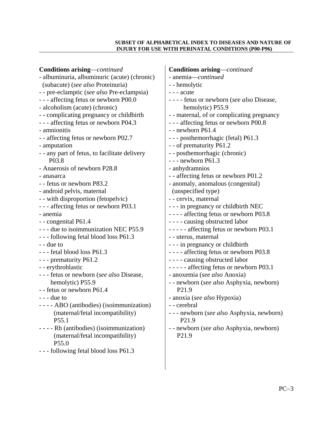| <b>Conditions arising</b> —continued          | <b>Conditions arising</b> —continued       |
|-----------------------------------------------|--------------------------------------------|
| - albuminuria, albuminuric (acute) (chronic)  | - anemia-continued                         |
| (subacute) (see also Proteinuria)             | - - hemolytic                              |
| - - pre-eclamptic (see also Pre-eclampsia)    | $-$ - $-$ acute                            |
| - - - affecting fetus or newborn P00.0        | ---- fetus or newborn (see also Disease,   |
| - alcoholism (acute) (chronic)                | hemolytic) P55.9                           |
| - - complicating pregnancy or childbirth      | - - maternal, of or complicating pregnancy |
| - - - affecting fetus or newborn P04.3        | --- affecting fetus or newborn P00.8       |
| - amnionitis                                  | - - newborn P61.4                          |
| - - affecting fetus or newborn P02.7          | - - - posthemorrhagic (fetal) P61.3        |
| - amputation                                  | - - of prematurity P61.2                   |
| - - any part of fetus, to facilitate delivery | - - posthemorrhagic (chronic)              |
| P <sub>0</sub> 3.8                            | $--$ newborn P61.3                         |
| - Anaerosis of newborn P28.8                  | - anhydramnios                             |
| - anasarca                                    | - - affecting fetus or newborn P01.2       |
| - - fetus or newborn P83.2                    | - anomaly, anomalous (congenital)          |
| - android pelvis, maternal                    | (unspecified type)                         |
| - - with disproportion (fetopelvic)           | - - cervix, maternal                       |
| - - - affecting fetus or newborn P03.1        | - - - in pregnancy or childbirth NEC       |
| - anemia                                      | - - - - affecting fetus or newborn P03.8   |
| - congenital P61.4                            | - - - - causing obstructed labor           |
| - - - due to isoimmunization NEC P55.9        | ----- affecting fetus or newborn P03.1     |
| - - - following fetal blood loss P61.3        | - - uterus, maternal                       |
| - - due to                                    | - - - in pregnancy or childbirth           |
| --- fetal blood loss P61.3                    | ---- affecting fetus or newborn P03.8      |
| - - - prematurity P61.2                       | - - - - causing obstructed labor           |
| - - erythroblastic                            | ----- affecting fetus or newborn P03.1     |
| --- fetus or newborn (see also Disease,       | - anoxemia (see also Anoxia)               |
| hemolytic) P55.9                              | - - newborn (see also Asphyxia, newborn)   |
| - - fetus or newborn P61.4                    | P <sub>2</sub> 1.9                         |
| $- -$ - due to                                | - anoxia (see also Hypoxia)                |
| - - - - ABO (antibodies) (isoimmunization)    | - - cerebral                               |
| (maternal/fetal incompatibility)              | - - - newborn (see also Asphyxia, newborn) |
| P <sub>55.1</sub>                             | P <sub>21.9</sub>                          |
| Rh (antibodies) (isoimmunization)             | - - newborn (see also Asphyxia, newborn)   |
| (maternal/fetal incompatibility)              | P <sub>21.9</sub>                          |
| P55.0                                         |                                            |
| following fetal blood loss P61.3              |                                            |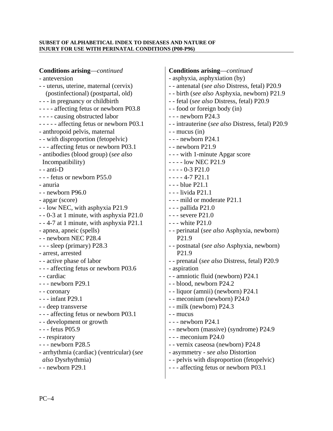| Conditions arising-continued              | <b>Conditions arising</b> —continued              |
|-------------------------------------------|---------------------------------------------------|
| - anteversion                             | - asphyxia, asphyxiation (by)                     |
| - - uterus, uterine, maternal (cervix)    | - - antenatal (see also Distress, fetal) P20.9    |
| (postinfectional) (postpartal, old)       | - - birth (see also Asphyxia, newborn) P21.9      |
| - - - in pregnancy or childbirth          | - - fetal (see also Distress, fetal) P20.9        |
| ---- affecting fetus or newborn P03.8     | - - food or foreign body (in)                     |
| - - - - causing obstructed labor          | $--$ newborn P24.3                                |
| ----- affecting fetus or newborn P03.1    | - - intrauterine (see also Distress, fetal) P20.9 |
| - anthropoid pelvis, maternal             | $-$ - mucus (in)                                  |
| - - with disproportion (fetopelvic)       | $--$ newborn P24.1                                |
| - - - affecting fetus or newborn P03.1    | $-$ - newborn P21.9                               |
| - antibodies (blood group) (see also      | - - - with 1-minute Apgar score                   |
| Incompatibility)                          | ---- low NEC P21.9                                |
| - - anti-D                                | $--- 0-3 P21.0$                                   |
| --- fetus or newborn P55.0                | $-- - 4-7 P21.1$                                  |
| - anuria                                  | $--$ blue P21.1                                   |
| - - newborn P96.0                         | - - - livida P21.1                                |
| - apgar (score)                           | - - - mild or moderate P21.1                      |
| - - low NEC, with asphyxia P21.9          | - - - pallida P21.0                               |
| - - 0-3 at 1 minute, with asphyxia P21.0  | $--$ severe P21.0                                 |
| - - 4-7 at 1 minute, with asphyxia P21.1  | $--$ white P21.0                                  |
| - apnea, apneic (spells)                  | - - perinatal (see also Asphyxia, newborn)        |
| - - newborn NEC P28.4                     | P <sub>2</sub> 1.9                                |
| $- -$ sleep (primary) P28.3               | - - postnatal (see also Asphyxia, newborn)        |
| - arrest, arrested                        | P <sub>21.9</sub>                                 |
| - - active phase of labor                 | - - prenatal (see also Distress, fetal) P20.9     |
| - - - affecting fetus or newborn P03.6    | - aspiration                                      |
| - - cardiac                               | - - amniotic fluid (newborn) P24.1                |
| $--$ newborn P29.1                        | - - blood, newborn P24.2                          |
| - - coronary                              | - - liquor (amnii) (newborn) P24.1                |
| - - - infant P29.1                        | - - meconium (newborn) P24.0                      |
| - - deep transverse                       | - - milk (newborn) P24.3                          |
| - - - affecting fetus or newborn P03.1    | - - mucus                                         |
| - - development or growth                 | $--$ newborn P24.1                                |
| - - - fetus P05.9                         | - - newborn (massive) (syndrome) P24.9            |
| - - respiratory                           | $--$ meconium P24.0                               |
| $--$ newborn P28.5                        | - - vernix caseosa (newborn) P24.8                |
| - arrhythmia (cardiac) (ventricular) (see | - asymmetry - see also Distortion                 |
| also Dysrhythmia)                         | - - pelvis with disproportion (fetopelvic)        |
| $-$ - newborn P29.1                       | --- affecting fetus or newborn P03.1              |
|                                           |                                                   |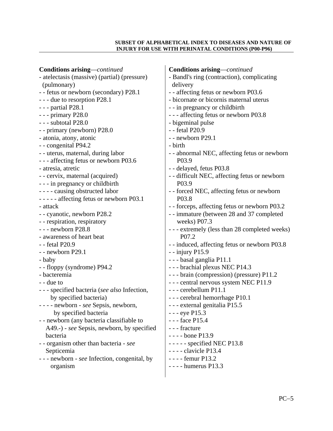| Conditions arising-continued<br>- atelectasis (massive) (partial) (pressure)<br>(pulmonary)<br>- - fetus or newborn (secondary) P28.1<br>- - - due to resorption P28.1<br>$--$ partial P28.1<br>- - - primary P28.0<br>--- subtotal P28.0<br>- - primary (newborn) P28.0<br>- atonia, atony, atonic<br>- - congenital P94.2<br>- birth<br>- - uterus, maternal, during labor<br>- - - affecting fetus or newborn P03.6<br>- atresia, atretic<br>- - cervix, maternal (acquired)<br>- - - in pregnancy or childbirth<br>- - - - causing obstructed labor<br>- - - - - affecting fetus or newborn P03.1<br>- attack<br>- - cyanotic, newborn P28.2<br>- - respiration, respiratory<br>$--$ newborn P28.8<br>- awareness of heart beat<br>- - fetal P20.9<br>$-$ - newborn P29.1<br>- baby<br>- - floppy (syndrome) P94.2<br>- bacteremia<br>- - due to<br>- - - specified bacteria (see also Infection,<br>by specified bacteria)<br>- - - - newborn - see Sepsis, newborn,<br>by specified bacteria<br>- - newborn (any bacteria classifiable to<br>A49.-) - see Sepsis, newborn, by specified<br>bacteria<br>- - organism other than bacteria - see<br>Septicemia<br>- - - newborn - see Infection, congenital, by<br>organism | Conditions arising-continued<br>- Bandl's ring (contraction), complicating<br>delivery<br>- - affecting fetus or newborn P03.6<br>- bicornate or bicornis maternal uterus<br>- - in pregnancy or childbirth<br>--- affecting fetus or newborn P03.8<br>- bigeminal pulse<br>- - fetal P20.9<br>- - newborn P29.1<br>- - abnormal NEC, affecting fetus or newborn<br>P <sub>0</sub> 3.9<br>- - delayed, fetus P03.8<br>- - difficult NEC, affecting fetus or newborn<br>P <sub>0</sub> 3.9<br>- - forced NEC, affecting fetus or newborn<br>P <sub>0</sub> 3.8<br>- - forceps, affecting fetus or newborn P03.2<br>- - immature (between 28 and 37 completed<br>weeks) P07.3<br>- - - extremely (less than 28 completed weeks)<br>P <sub>07.2</sub><br>- - induced, affecting fetus or newborn P03.8<br>$-$ injury P15.9<br>- - - basal ganglia P11.1<br>- - - brachial plexus NEC P14.3<br>- - - brain (compression) (pressure) P11.2<br>--- central nervous system NEC P11.9<br>- - - cerebellum P11.1<br>- - - cerebral hemorrhage P10.1<br>- - - external genitalia P15.5<br>$- -$ eye P15.3<br>$--$ face P15.4<br>- - - fracture<br>$---$ bone P13.9<br>$---$ specified NEC P13.8<br>$---$ clavicle P13.4<br>$--$ femur P13.2<br>- - - - humerus P13.3 |
|--------------------------------------------------------------------------------------------------------------------------------------------------------------------------------------------------------------------------------------------------------------------------------------------------------------------------------------------------------------------------------------------------------------------------------------------------------------------------------------------------------------------------------------------------------------------------------------------------------------------------------------------------------------------------------------------------------------------------------------------------------------------------------------------------------------------------------------------------------------------------------------------------------------------------------------------------------------------------------------------------------------------------------------------------------------------------------------------------------------------------------------------------------------------------------------------------------------------------------|------------------------------------------------------------------------------------------------------------------------------------------------------------------------------------------------------------------------------------------------------------------------------------------------------------------------------------------------------------------------------------------------------------------------------------------------------------------------------------------------------------------------------------------------------------------------------------------------------------------------------------------------------------------------------------------------------------------------------------------------------------------------------------------------------------------------------------------------------------------------------------------------------------------------------------------------------------------------------------------------------------------------------------------------------------------------------------------------------------------------------------------------------------------------------------------------------------------------------------------------------------|
|--------------------------------------------------------------------------------------------------------------------------------------------------------------------------------------------------------------------------------------------------------------------------------------------------------------------------------------------------------------------------------------------------------------------------------------------------------------------------------------------------------------------------------------------------------------------------------------------------------------------------------------------------------------------------------------------------------------------------------------------------------------------------------------------------------------------------------------------------------------------------------------------------------------------------------------------------------------------------------------------------------------------------------------------------------------------------------------------------------------------------------------------------------------------------------------------------------------------------------|------------------------------------------------------------------------------------------------------------------------------------------------------------------------------------------------------------------------------------------------------------------------------------------------------------------------------------------------------------------------------------------------------------------------------------------------------------------------------------------------------------------------------------------------------------------------------------------------------------------------------------------------------------------------------------------------------------------------------------------------------------------------------------------------------------------------------------------------------------------------------------------------------------------------------------------------------------------------------------------------------------------------------------------------------------------------------------------------------------------------------------------------------------------------------------------------------------------------------------------------------------|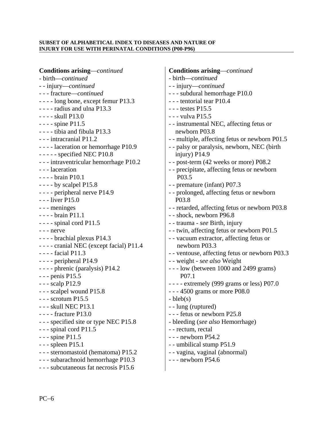**Conditions arising**—*continued*  - birth—*continued*  - - injury—*continued*  - - - fracture—*continued*  - - - - long bone, except femur P13.3 - - - - radius and ulna P13.3 - - - - skull P13.0 - - - - spine P11.5 - - - - tibia and fibula P13.3 - - - intracranial P11.2 - - - - laceration or hemorrhage P10.9 - - - - - specified NEC P10.8 - - - intraventricular hemorrhage P10.2 - - - laceration - - - - brain P10.1 - - - - by scalpel P15.8 - - - - peripheral nerve P14.9 - - - liver P15.0 - - - meninges - - - - brain P11.1 - - - - spinal cord P11.5 - - - nerve - - - - brachial plexus P14.3 - - - - cranial NEC (except facial) P11.4 - - - - facial P11.3 - - - - peripheral P14.9 - - - - phrenic (paralysis) P14.2 - - - penis P15.5 - - - scalp P12.9 - - - scalpel wound P15.8 - - - scrotum P15.5 - - - skull NEC P13.1 - - - - fracture P13.0 - - - specified site or type NEC P15.8 - - - spinal cord P11.5 - - - spine P11.5 - - - spleen P15.1 - - - sternomastoid (hematoma) P15.2 - - - subarachnoid hemorrhage P10.3 - - - subcutaneous fat necrosis P15.6

**Conditions arising**—*continued*  - birth—*continued*  - - injury—*continued*  - - - subdural hemorrhage P10.0 - - - tentorial tear P10.4 - - - testes P15.5 - - - vulva P15.5 - - instrumental NEC, affecting fetus or newborn P03.8 - - multiple, affecting fetus or newborn P01.5 - - palsy or paralysis, newborn, NEC (birth injury) P14.9 - - post-term (42 weeks or more) P08.2 - - precipitate, affecting fetus or newborn P03.5 - - premature (infant) P07.3 - - prolonged, affecting fetus or newborn P03.8 - - retarded, affecting fetus or newborn P03.8 - - shock, newborn P96.8 - - trauma - *see* Birth, injury - - twin, affecting fetus or newborn P01.5 - - vacuum extractor, affecting fetus or newborn P03.3 - - ventouse, affecting fetus or newborn P03.3 - - weight - *see also* Weight - - - low (between 1000 and 2499 grams) P07.1 - - - - extremely (999 grams or less) P07.0 - - - 4500 grams or more P08.0 - bleb(s) - - lung (ruptured) - - - fetus or newborn P25.8 - bleeding (*see also* Hemorrhage) - - rectum, rectal - - - newborn P54.2 - - umbilical stump P51.9 - - vagina, vaginal (abnormal) - - - newborn P54.6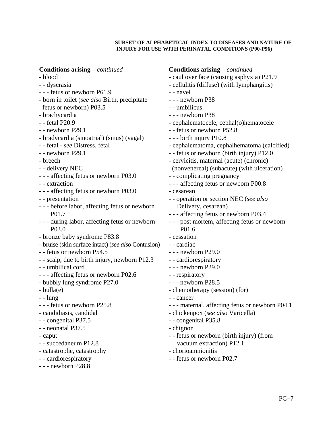| <b>Conditions arising</b> —continued                | <b>Conditions arising</b> —continued             |
|-----------------------------------------------------|--------------------------------------------------|
| - blood                                             | - caul over face (causing asphyxia) P21.9        |
| - - dyscrasia                                       | - cellulitis (diffuse) (with lymphangitis)       |
| --- fetus or newborn P61.9                          | - - navel                                        |
| - born in toilet (see also Birth, precipitate       | - - - newborn P38                                |
| fetus or newborn) P03.5                             | - - umbilicus                                    |
| - brachycardia                                      | - - - newborn P38                                |
| - - fetal P20.9                                     | - cephalematocele, cephal(o)hematocele           |
| - - newborn P29.1                                   | - - fetus or newborn P52.8                       |
| - bradycardia (sinoatrial) (sinus) (vagal)          | - - - birth injury P10.8                         |
| - - fetal - see Distress, fetal                     | - cephalematoma, cephalhematoma (calcified)      |
| - - newborn P29.1                                   | - - fetus or newborn (birth injury) P12.0        |
| - breech                                            | - cervicitis, maternal (acute) (chronic)         |
| - - delivery NEC                                    | (nonvenereal) (subacute) (with ulceration)       |
| - - - affecting fetus or newborn P03.0              | - - complicating pregnancy                       |
| - - extraction                                      | --- affecting fetus or newborn P00.8             |
| - - - affecting fetus or newborn P03.0              | - cesarean                                       |
| - - presentation                                    | - - operation or section NEC (see also           |
| --- before labor, affecting fetus or newborn        | Delivery, cesarean)                              |
| P <sub>01.7</sub>                                   | --- affecting fetus or newborn P03.4             |
| - - - during labor, affecting fetus or newborn      | - - - post mortem, affecting fetus or newborn    |
| P <sub>0</sub> 3.0                                  | P01.6                                            |
| - bronze baby syndrome P83.8                        | - cessation                                      |
| - bruise (skin surface intact) (see also Contusion) | - - cardiac                                      |
| - - fetus or newborn P54.5                          | $--$ newborn P29.0                               |
| - - scalp, due to birth injury, newborn P12.3       | - - cardiorespiratory                            |
| - - umbilical cord                                  | - - - newborn P29.0                              |
| - - - affecting fetus or newborn P02.6              | - - respiratory                                  |
| - bubbly lung syndrome P27.0                        | $--$ newborn P28.5                               |
| - bulla(e)                                          | - chemotherapy (session) (for)                   |
| - - lung                                            | - - cancer                                       |
| - - - fetus or newborn P25.8                        | - - - maternal, affecting fetus or newborn P04.1 |
| - candidiasis, candidal                             | - chickenpox (see also Varicella)                |
| - - congenital P37.5                                | - - congenital P35.8                             |
| - - neonatal P37.5                                  | - chignon                                        |
| - caput                                             | - - fetus or newborn (birth injury) (from        |
| - - succedaneum P12.8                               | vacuum extraction) P12.1                         |
| - catastrophe, catastrophy                          | - chorioamnionitis                               |
| - - cardiorespiratory                               | - - fetus or newborn P02.7                       |
| $--$ newborn P28.8                                  |                                                  |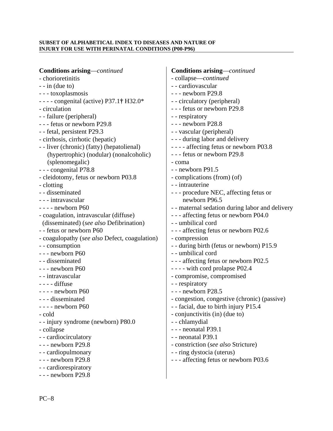| <b>Conditions arising</b> —continued              | <b>Conditions arising</b> —continued            |
|---------------------------------------------------|-------------------------------------------------|
| - chorioretinitis                                 | - collapse—continued                            |
| $-$ - in (due to)                                 | - - cardiovascular                              |
| - - - toxoplasmosis                               | $--$ newborn P29.8                              |
| - - - - congenital (active) $P37.1\dagger H32.0*$ | - - circulatory (peripheral)                    |
| - circulation                                     | --- fetus or newborn P29.8                      |
| - - failure (peripheral)                          | - - respiratory                                 |
| - - - fetus or newborn P29.8                      | $--$ newborn P28.8                              |
| - - fetal, persistent P29.3                       | - - vascular (peripheral)                       |
| - cirrhosis, cirrhotic (hepatic)                  | - - - during labor and delivery                 |
| - - liver (chronic) (fatty) (hepatolienal)        | - - - - affecting fetus or newborn P03.8        |
| (hypertrophic) (nodular) (nonalcoholic)           | --- fetus or newborn P29.8                      |
| (splenomegalic)                                   | - coma                                          |
| - - - congenital P78.8                            | $-$ - newborn P91.5                             |
| - cleidotomy, fetus or newborn P03.8              | - complications (from) (of)                     |
| - clotting                                        | - - intrauterine                                |
| - - disseminated                                  | - - - procedure NEC, affecting fetus or         |
| - - - intravascular                               | newborn P96.5                                   |
| $---$ newborn P60                                 | - - maternal sedation during labor and delivery |
| - coagulation, intravascular (diffuse)            | - - - affecting fetus or newborn P04.0          |
| (disseminated) (see also Defibrination)           | - - umbilical cord                              |
| - - fetus or newborn P60                          | - - - affecting fetus or newborn P02.6          |
| - coagulopathy (see also Defect, coagulation)     | - compression                                   |
| - - consumption                                   | - - during birth (fetus or newborn) P15.9       |
| - - - newborn P60                                 | - - umbilical cord                              |
| - - disseminated                                  | - - - affecting fetus or newborn P02.5          |
| - - - newborn P60                                 | ---- with cord prolapse P02.4                   |
| - - intravascular                                 | - compromise, compromised                       |
| $---diffuse$                                      | - - respiratory                                 |
| $--$ - newborn P60                                | $--$ newborn P28.5                              |
| - - - disseminated                                | - congestion, congestive (chronic) (passive)    |
| $--$ - newborn P60                                | - - facial, due to birth injury P15.4           |
| - cold                                            | - conjunctivitis (in) (due to)                  |
| - - injury syndrome (newborn) P80.0               | - - chlamydial                                  |
| - collapse                                        | $--$ neonatal P39.1                             |
| - - cardiocirculatory                             | - - neonatal P39.1                              |
| $--$ newborn P29.8                                | - constriction (see also Stricture)             |
| - - cardiopulmonary                               | - - ring dystocia (uterus)                      |
| - - - newborn P29.8                               | --- affecting fetus or newborn P03.6            |
| - - cardiorespiratory                             |                                                 |
| - - - newborn P29.8                               |                                                 |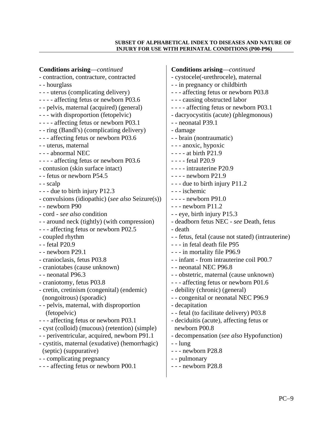| <b>Conditions arising</b> —continued             | <b>Conditions arising</b> —continued               |
|--------------------------------------------------|----------------------------------------------------|
| - contraction, contracture, contracted           | - cystocele(-urethrocele), maternal                |
| - - hourglass                                    | - - in pregnancy or childbirth                     |
| - - - uterus (complicating delivery)             | - - - affecting fetus or newborn P03.8             |
| - - - - affecting fetus or newborn P03.6         | - - - causing obstructed labor                     |
| - - pelvis, maternal (acquired) (general)        | - - - - affecting fetus or newborn P03.1           |
| - - - with disproportion (fetopelvic)            | - dacryocystitis (acute) (phlegmonous)             |
| - - - - affecting fetus or newborn P03.1         | - - neonatal P39.1                                 |
| - - ring (Bandl's) (complicating delivery)       | - damage                                           |
| - - - affecting fetus or newborn P03.6           | - - brain (nontraumatic)                           |
| - - uterus, maternal                             | - - - anoxic, hypoxic                              |
| --- abnormal NEC                                 | $--$ - at birth P21.9                              |
| - - - - affecting fetus or newborn P03.6         | - - - - fetal P20.9                                |
| - contusion (skin surface intact)                | - - - - intrauterine P20.9                         |
| - - fetus or newborn P54.5                       | $--$ - newborn P21.9                               |
| - - scalp                                        | - - - due to birth injury P11.2                    |
| - - - due to birth injury P12.3                  | - - - ischemic                                     |
| - convulsions (idiopathic) (see also Seizure(s)) | $--$ - newborn P91.0                               |
| - - newborn P90                                  | $--$ newborn P11.2                                 |
| - cord - see also condition                      | - - eye, birth injury P15.3                        |
| - - around neck (tightly) (with compression)     | - deadborn fetus NEC - see Death, fetus            |
| - - - affecting fetus or newborn P02.5           | - death                                            |
| - coupled rhythm                                 | - - fetus, fetal (cause not stated) (intrauterine) |
| - - fetal P20.9                                  | - - - in fetal death file P95                      |
| $-$ - newborn P29.1                              | - - - in mortality file P96.9                      |
| - cranioclasis, fetus P03.8                      | - - infant - from intrauterine coil P00.7          |
| - craniotabes (cause unknown)                    | - - neonatal NEC P96.8                             |
| - - neonatal P96.3                               | - - obstetric, maternal (cause unknown)            |
| - craniotomy, fetus P03.8                        | - - - affecting fetus or newborn P01.6             |
| - cretin, cretinism (congenital) (endemic)       | - debility (chronic) (general)                     |
| (nongoitrous) (sporadic)                         | - - congenital or neonatal NEC P96.9               |
| - - pelvis, maternal, with disproportion         | - decapitation                                     |
| (fetopelvic)                                     | - - fetal (to facilitate delivery) P03.8           |
| - - - affecting fetus or newborn P03.1           | - deciduitis (acute), affecting fetus or           |
| - cyst (colloid) (mucous) (retention) (simple)   | newborn P00.8                                      |
| - - periventricular, acquired, newborn P91.1     | - decompensation (see also Hypofunction)           |
| - cystitis, maternal (exudative) (hemorrhagic)   | - - lung                                           |
| (septic) (suppurative)                           | - - - newborn P28.8                                |
| - - complicating pregnancy                       | - - pulmonary                                      |
| - - - affecting fetus or newborn P00.1           | - - - newborn P28.8                                |
|                                                  |                                                    |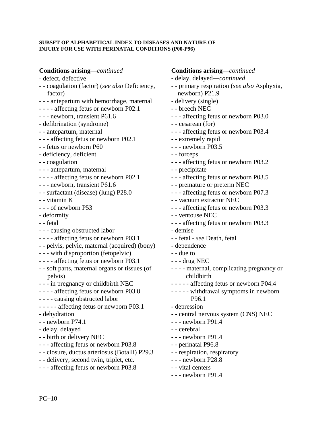| <b>Conditions arising</b> —continued                      | <b>Conditions arising</b> —continued                          |
|-----------------------------------------------------------|---------------------------------------------------------------|
| - defect, defective                                       | - delay, delayed-continued                                    |
| - - coagulation (factor) (see also Deficiency,<br>factor) | - - primary respiration (see also Asphyxia,<br>newborn) P21.9 |
| - - - antepartum with hemorrhage, maternal                | - delivery (single)                                           |
| - - - - affecting fetus or newborn P02.1                  | - - breech NEC                                                |
| - - - newborn, transient P61.6                            | --- affecting fetus or newborn P03.0                          |
| - defibrination (syndrome)                                | - - cesarean (for)                                            |
| - - antepartum, maternal                                  | - - - affecting fetus or newborn P03.4                        |
| --- affecting fetus or newborn P02.1                      | - - extremely rapid                                           |
| - - fetus or newborn P60                                  | $--$ newborn P03.5                                            |
| - deficiency, deficient                                   | - - forceps                                                   |
| - - coagulation                                           | - - - affecting fetus or newborn P03.2                        |
| - - - antepartum, maternal                                | - - precipitate                                               |
| ---- affecting fetus or newborn P02.1                     | - - - affecting fetus or newborn P03.5                        |
| - - - newborn, transient P61.6                            | - - premature or preterm NEC                                  |
| - - surfactant (disease) (lung) P28.0                     | --- affecting fetus or newborn P07.3                          |
| - - vitamin K                                             | - - vacuum extractor NEC                                      |
| $--$ of newborn P53                                       | - - - affecting fetus or newborn P03.3                        |
| - deformity                                               | - - ventouse NEC                                              |
| - - fetal                                                 | - - - affecting fetus or newborn P03.3                        |
| - - - causing obstructed labor                            | - demise                                                      |
| - - - - affecting fetus or newborn P03.1                  | - - fetal - see Death, fetal                                  |
| - - pelvis, pelvic, maternal (acquired) (bony)            | - dependence                                                  |
| - - - with disproportion (fetopelvic)                     | - - due to                                                    |
| - - - - affecting fetus or newborn P03.1                  | $--$ drug NEC                                                 |
| - - soft parts, maternal organs or tissues (of<br>pelvis) | - - - - maternal, complicating pregnancy or<br>childbirth     |
| - - - in pregnancy or childbirth NEC                      | ----- affecting fetus or newborn P04.4                        |
| - - - - affecting fetus or newborn P03.8                  | - - - - - withdrawal symptoms in newborn                      |
| - - - - causing obstructed labor                          | P96.1                                                         |
| ----- affecting fetus or newborn P03.1                    | - depression                                                  |
| - dehydration                                             | - - central nervous system (CNS) NEC                          |
| $-$ - newborn P74.1                                       | - - - newborn P91.4                                           |
| - delay, delayed                                          | - - cerebral                                                  |
| - - birth or delivery NEC                                 | $--$ newborn P91.4                                            |
| - - - affecting fetus or newborn P03.8                    | - - perinatal P96.8                                           |
| - - closure, ductus arteriosus (Botalli) P29.3            | - - respiration, respiratory                                  |
| - - delivery, second twin, triplet, etc.                  | $--$ newborn P28.8                                            |
| - - - affecting fetus or newborn P03.8                    | - - vital centers                                             |
|                                                           | $--$ newborn P91.4                                            |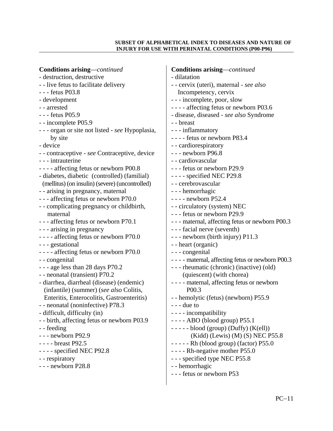| <b>Conditions arising</b> —continued<br>- destruction, destructive<br>- - live fetus to facilitate delivery<br>- - - fetus P03.8<br>- development<br>- - arrested<br>- - - fetus P05.9<br>- - incomplete P05.9<br>- - - organ or site not listed - see Hypoplasia,<br>by site<br>- device<br>- contraceptive - see Contraceptive, device<br>- - - intrauterine<br>- - - - affecting fetus or newborn P00.8<br>- diabetes, diabetic (controlled) (familial)<br>(mellitus) (on insulin) (severe) (uncontrolled)<br>- - arising in pregnancy, maternal<br>--- affecting fetus or newborn P70.0<br>- complicating pregnancy or childbirth,<br>maternal<br>- - - affecting fetus or newborn P70.1<br>- - - arising in pregnancy<br>- - - - affecting fetus or newborn P70.0<br>- - - gestational<br>- - - - affecting fetus or newborn P70.0<br>- - congenital<br>$--$ age less than 28 days P70.2<br>- - neonatal (transient) P70.2<br>- diarrhea, diarrheal (disease) (endemic)<br>(infantile) (summer) (see also Colitis,<br>Enteritis, Enterocolitis, Gastroenteritis)<br>- - neonatal (noninfective) P78.3<br>- difficult, difficulty (in)<br>- - birth, affecting fetus or newborn P03.9<br>- feeding<br>$--$ newborn P92.9<br>- - - - breast P92.5<br>$---$ specified NEC P92.8<br>- - respiratory<br>$--$ newborn P28.8 | <b>Conditions arising</b> —continued<br>- dilatation<br>- - cervix (uteri), maternal - see also<br>Incompetency, cervix<br>- - - incomplete, poor, slow<br>- - - - affecting fetus or newborn P03.6<br>- disease, diseased - see also Syndrome<br>- - breast<br>- - - inflammatory<br>$--$ - fetus or newborn P83.4<br>- - cardiorespiratory<br>- - - newborn P96.8<br>- - cardiovascular<br>- - - fetus or newborn P29.9<br>- - - - specified NEC P29.8<br>- - cerebrovascular<br>- - - hemorrhagic<br>$--$ - newborn P52.4<br>- - circulatory (system) NEC<br>- - - fetus or newborn P29.9<br>- - - maternal, affecting fetus or newborn P00.3<br>- - - facial nerve (seventh)<br>- - - newborn (birth injury) P11.3<br>- - heart (organic)<br>- - - congenital<br>- - - - maternal, affecting fetus or newborn P00.3<br>- - - rheumatic (chronic) (inactive) (old)<br>(quiescent) (with chorea)<br>- - - - maternal, affecting fetus or newborn<br>P <sub>00.3</sub><br>- - hemolytic (fetus) (newborn) P55.9<br>$- -$ - due to<br>- - - - incompatibility<br>$---ABO$ (blood group) P55.1<br>$---$ blood (group) (Duffy) (K(ell))<br>$(Kidd)$ (Lewis) $(M)$ $(S)$ NEC P55.8<br>$---$ Rh (blood group) (factor) P55.0<br>- - - - Rh-negative mother P55.0<br>--- specified type NEC P55.8<br>- - hemorrhagic<br>- - - fetus or newborn P53 |
|----------------------------------------------------------------------------------------------------------------------------------------------------------------------------------------------------------------------------------------------------------------------------------------------------------------------------------------------------------------------------------------------------------------------------------------------------------------------------------------------------------------------------------------------------------------------------------------------------------------------------------------------------------------------------------------------------------------------------------------------------------------------------------------------------------------------------------------------------------------------------------------------------------------------------------------------------------------------------------------------------------------------------------------------------------------------------------------------------------------------------------------------------------------------------------------------------------------------------------------------------------------------------------------------------------------------------|-----------------------------------------------------------------------------------------------------------------------------------------------------------------------------------------------------------------------------------------------------------------------------------------------------------------------------------------------------------------------------------------------------------------------------------------------------------------------------------------------------------------------------------------------------------------------------------------------------------------------------------------------------------------------------------------------------------------------------------------------------------------------------------------------------------------------------------------------------------------------------------------------------------------------------------------------------------------------------------------------------------------------------------------------------------------------------------------------------------------------------------------------------------------------------------------------------------------------------------------------------------------------------------------------------------------------------------------------|
|                                                                                                                                                                                                                                                                                                                                                                                                                                                                                                                                                                                                                                                                                                                                                                                                                                                                                                                                                                                                                                                                                                                                                                                                                                                                                                                            |                                                                                                                                                                                                                                                                                                                                                                                                                                                                                                                                                                                                                                                                                                                                                                                                                                                                                                                                                                                                                                                                                                                                                                                                                                                                                                                                               |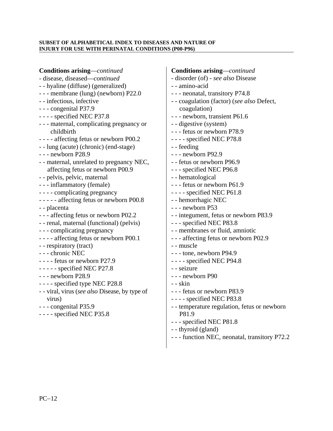| <b>Conditions arising</b> —continued<br>- disease, diseased-continued<br>- - hyaline (diffuse) (generalized)<br>- - - membrane (lung) (newborn) P22.0<br>- - infectious, infective<br>- - - congenital P37.9<br>- - - - specified NEC P37.8<br>- - - maternal, complicating pregnancy or<br>childbirth<br>- - - - affecting fetus or newborn P00.2<br>- - lung (acute) (chronic) (end-stage)<br>$- -$ newborn P28.9<br>- - maternal, unrelated to pregnancy NEC,<br>affecting fetus or newborn P00.9<br>- - pelvis, pelvic, maternal<br>- - - inflammatory (female)<br>- - - - complicating pregnancy<br>- - - - - affecting fetus or newborn P00.8<br>- - placenta<br>- - - affecting fetus or newborn P02.2<br>- - renal, maternal (functional) (pelvis)<br>- - - complicating pregnancy<br>- - - - affecting fetus or newborn P00.1<br>- - respiratory (tract)<br>- - - chronic NEC<br>- - - - fetus or newborn P27.9<br>$---$ specified NEC P27.8<br>- - - newborn P28.9<br>- - - - specified type NEC P28.8<br>- - viral, virus (see also Disease, by type of<br>virus)<br>- - - congenital P35.9<br>- - - - specified NEC P35.8 | <b>Conditions arising</b> —continued<br>- disorder (of) - see also Disease<br>- - amino-acid<br>- - - neonatal, transitory P74.8<br>- - coagulation (factor) (see also Defect,<br>coagulation)<br>- - - newborn, transient P61.6<br>- - digestive (system)<br>--- fetus or newborn P78.9<br>- - - - specified NEC P78.8<br>- - feeding<br>- - - newborn P92.9<br>- - fetus or newborn P96.9<br>--- specified NEC P96.8<br>- - hematological<br>--- fetus or newborn P61.9<br>- - - - specified NEC P61.8<br>- - hemorrhagic NEC<br>$--$ newborn P53<br>- - integument, fetus or newborn P83.9<br>- - - specified NEC P83.8<br>- - membranes or fluid, amniotic<br>--- affecting fetus or newborn P02.9<br>- - muscle<br>- - - tone, newborn P94.9<br>- - - - specified NEC P94.8<br>- - seizure<br>- - - newborn P90<br>- - skin<br>--- fetus or newborn P83.9<br>- - - - specified NEC P83.8<br>- - temperature regulation, fetus or newborn<br>P81.9<br>- - - specified NEC P81.8 |
|---------------------------------------------------------------------------------------------------------------------------------------------------------------------------------------------------------------------------------------------------------------------------------------------------------------------------------------------------------------------------------------------------------------------------------------------------------------------------------------------------------------------------------------------------------------------------------------------------------------------------------------------------------------------------------------------------------------------------------------------------------------------------------------------------------------------------------------------------------------------------------------------------------------------------------------------------------------------------------------------------------------------------------------------------------------------------------------------------------------------------------------|-------------------------------------------------------------------------------------------------------------------------------------------------------------------------------------------------------------------------------------------------------------------------------------------------------------------------------------------------------------------------------------------------------------------------------------------------------------------------------------------------------------------------------------------------------------------------------------------------------------------------------------------------------------------------------------------------------------------------------------------------------------------------------------------------------------------------------------------------------------------------------------------------------------------------------------------------------------------------------------|
|                                                                                                                                                                                                                                                                                                                                                                                                                                                                                                                                                                                                                                                                                                                                                                                                                                                                                                                                                                                                                                                                                                                                       | - - thyroid (gland)<br>- - - function NEC, neonatal, transitory P72.2                                                                                                                                                                                                                                                                                                                                                                                                                                                                                                                                                                                                                                                                                                                                                                                                                                                                                                               |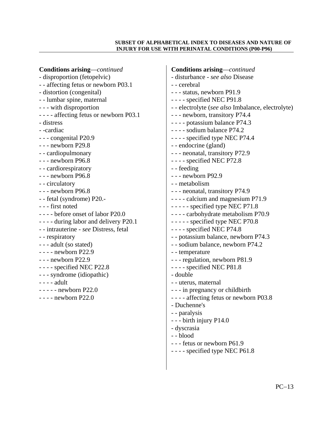| <b>Conditions arising</b> —continued     | <b>Conditions arising</b> —continued              |
|------------------------------------------|---------------------------------------------------|
| - disproportion (fetopelvic)             | - disturbance - see also Disease                  |
| - - affecting fetus or newborn P03.1     | - - cerebral                                      |
| - distortion (congenital)                | - - - status, newborn P91.9                       |
| - - lumbar spine, maternal               | $--$ specified NEC P91.8                          |
| - - - with disproportion                 | - - electrolyte (see also Imbalance, electrolyte) |
| - - - - affecting fetus or newborn P03.1 | - - - newborn, transitory P74.4                   |
| - distress                               | - - - - potassium balance P74.3                   |
| - -cardiac                               | - - - - sodium balance P74.2                      |
| - - - congenital P20.9                   | - - - - specified type NEC P74.4                  |
| $--$ newborn P29.8                       | - - endocrine (gland)                             |
| - - cardiopulmonary                      | - - - neonatal, transitory P72.9                  |
| $--$ newborn P96.8                       | - - - - specified NEC P72.8                       |
| - - cardiorespiratory                    | - - feeding                                       |
| $--$ newborn P96.8                       | - - - newborn P92.9                               |
| - - circulatory                          | - - metabolism                                    |
| $--$ newborn P96.8                       | - - - neonatal, transitory P74.9                  |
| - - fetal (syndrome) P20.-               | - - - - calcium and magnesium P71.9               |
| - - - first noted                        | - - - - - specified type NEC P71.8                |
| - - - - before onset of labor P20.0      | - - - - carbohydrate metabolism P70.9             |
| - - - - during labor and delivery P20.1  | - - - - - specified type NEC P70.8                |
| - - intrauterine - see Distress, fetal   | - - - - specified NEC P74.8                       |
| - - respiratory                          | - - potassium balance, newborn P74.3              |
| - - - adult (so stated)                  | - - sodium balance, newborn P74.2                 |
| $--$ - newborn P22.9                     | - - temperature                                   |
| $--$ newborn P22.9                       | - - - regulation, newborn P81.9                   |
| $--$ specified NEC P22.8                 | - - - - specified NEC P81.8                       |
| - - - syndrome (idiopathic)              | - double                                          |
| $---$ adult                              | - - uterus, maternal                              |
| $---$ newborn P22.0                      | - - - in pregnancy or childbirth                  |
| $--$ - newborn P22.0                     | ---- affecting fetus or newborn P03.8             |
|                                          | - Duchenne's                                      |
|                                          | - - paralysis                                     |
|                                          | - - - birth injury P14.0                          |
|                                          | - dyscrasia                                       |
|                                          | - - blood                                         |
|                                          | --- fetus or newborn P61.9                        |
|                                          | - - - - specified type NEC P61.8                  |
|                                          |                                                   |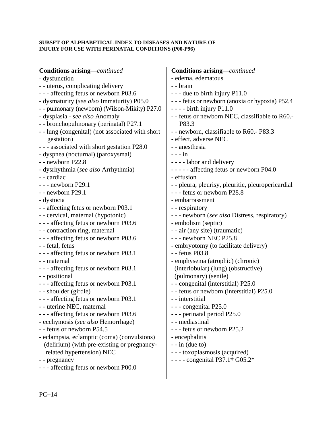| Conditions arising-continued                     | <b>Conditions arising</b> —continued               |
|--------------------------------------------------|----------------------------------------------------|
| - dysfunction                                    | - edema, edematous                                 |
| - - uterus, complicating delivery                | - brain                                            |
| --- affecting fetus or newborn P03.6             | - - - due to birth injury P11.0                    |
| - dysmaturity (see also Immaturity) P05.0        | - - - fetus or newborn (anoxia or hypoxia) P52.4   |
| - - pulmonary (newborn) (Wilson-Mikity) P27.0    | $---$ birth injury P11.0                           |
| - dysplasia - see also Anomaly                   | - - fetus or newborn NEC, classifiable to R60.-    |
| - - bronchopulmonary (perinatal) P27.1           | P83.3                                              |
| - - lung (congenital) (not associated with short | - - newborn, classifiable to R60.- P83.3           |
| gestation)                                       | - effect, adverse NEC                              |
| --- associated with short gestation P28.0        | - - anesthesia                                     |
| - dyspnea (nocturnal) (paroxysmal)               | $---in$                                            |
| $-$ - newborn P22.8                              | - - - - labor and delivery                         |
| - dysrhythmia (see also Arrhythmia)              | ----- affecting fetus or newborn P04.0             |
| - - cardiac                                      | - effusion                                         |
| $--$ newborn P29.1                               | - - pleura, pleurisy, pleuritic, pleuropericardial |
| $-$ - newborn P29.1                              | --- fetus or newborn P28.8                         |
| - dystocia                                       | - embarrassment                                    |
| - - affecting fetus or newborn P03.1             | - - respiratory                                    |
| - - cervical, maternal (hypotonic)               | --- newborn (see also Distress, respiratory)       |
| --- affecting fetus or newborn P03.6             | - embolism (septic)                                |
| - - contraction ring, maternal                   | - - air (any site) (traumatic)                     |
| --- affecting fetus or newborn P03.6             | - - - newborn NEC P25.8                            |
| - - fetal, fetus                                 | - embryotomy (to facilitate delivery)              |
| --- affecting fetus or newborn P03.1             | - - fetus P03.8                                    |
| - maternal                                       | - emphysema (atrophic) (chronic)                   |
| - - - affecting fetus or newborn P03.1           | (interlobular) (lung) (obstructive)                |
| - - positional                                   | (pulmonary) (senile)                               |
| --- affecting fetus or newborn P03.1             | - - congenital (interstitial) P25.0                |
| - - shoulder (girdle)                            | - - fetus or newborn (interstitial) P25.0          |
| --- affecting fetus or newborn P03.1             | - - interstitial                                   |
| - - uterine NEC, maternal                        | $-$ - congenital P25.0                             |
| - - - affecting fetus or newborn P03.6           | - - - perinatal period P25.0                       |
| - ecchymosis (see also Hemorrhage)               | - - mediastinal                                    |
| - - fetus or newborn P54.5                       | - - - fetus or newborn P25.2                       |
| - eclampsia, eclamptic (coma) (convulsions)      | - encephalitis                                     |
| (delirium) (with pre-existing or pregnancy-      | $-$ - in (due to)                                  |
| related hypertension) NEC                        | - - - toxoplasmosis (acquired)                     |
| - - pregnancy                                    | - - - - congenital P37.1† $G05.2*$                 |
| - - - affecting fetus or newborn P00.0           |                                                    |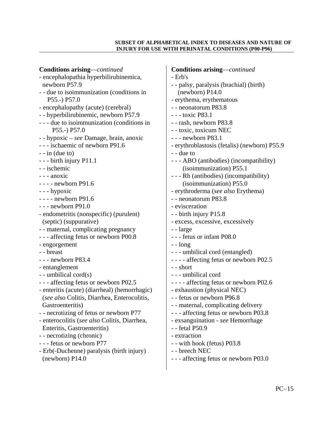| <b>Conditions arising</b> —continued          | <b>Conditions arising</b> —continued         |
|-----------------------------------------------|----------------------------------------------|
| - encephalopathia hyperbilirubinemica,        | - Erb's                                      |
| newborn P57.9                                 | - - palsy, paralysis (brachial) (birth)      |
| - - due to isoimmunization (conditions in     | $(newborn)$ P14.0                            |
| P55.-) P57.0                                  | - erythema, erythematous                     |
| - encephalopathy (acute) (cerebral)           | - - neonatorum P83.8                         |
| - - hyperbilirubinemic, newborn P57.9         | - - - toxic P83.1                            |
| - - - due to isoimmunization (conditions in   | - - rash, newborn P83.8                      |
| P55.-) P57.0                                  | - - toxic, toxicum NEC                       |
| - - hypoxic – see Damage, brain, anoxic       | $--$ newborn P83.1                           |
| - - - ischaemic of newborn P91.6              | - erythroblastosis (fetalis) (newborn) P55.9 |
| $-$ - in (due to)                             | - - due to                                   |
| $- -$ birth injury P11.1                      | - - - ABO (antibodies) (incompatibility)     |
| - - ischemic                                  | (isoimmunization) P55.1                      |
| - - - anoxic                                  | - - - Rh (antibodies) (incompatibility)      |
| $--$ - newborn P91.6                          | (isoimmunization) P55.0                      |
| - - - hypoxic                                 | - erythroderma (see also Erythema)           |
| $--$ - newborn P91.6                          | - - neonatorum P83.8                         |
| $--$ newborn P91.0                            | - evisceration                               |
| - endometritis (nonspecific) (purulent)       | - - birth injury P15.8                       |
| (septic) (suppurative)                        | - excess, excessive, excessively             |
| - - maternal, complicating pregnancy          | - - large                                    |
| - - - affecting fetus or newborn P00.8        | - - - fetus or infant P08.0                  |
| - engorgement                                 | $- - \text{long}$                            |
| - - breast                                    | - - - umbilical cord (entangled)             |
| $--$ newborn P83.4                            | ---- affecting fetus or newborn P02.5        |
| - entanglement                                | - - short                                    |
| - - umbilical cord(s)                         | --- umbilical cord                           |
| --- affecting fetus or newborn P02.5          | - - - - affecting fetus or newborn P02.6     |
| - enteritis (acute) (diarrheal) (hemorrhagic) | - exhaustion (physical NEC)                  |
| (see also Colitis, Diarrhea, Enterocolitis,   | - - fetus or newborn P96.8                   |
| Gastroenteritis)                              | - - maternal, complicating delivery          |
| - - necrotizing of fetus or newborn P77       | - - - affecting fetus or newborn P03.8       |
| - enterocolitis (see also Colitis, Diarrhea,  | - exsanguination - see Hemorrhage            |
| Enteritis, Gastroenteritis)                   | - - fetal P50.9                              |
| - - necrotizing (chronic)                     | - extraction                                 |
| - - - fetus or newborn P77                    | - - with hook (fetus) P03.8                  |
| - Erb(-Duchenne) paralysis (birth injury)     | - - breech NEC                               |
| $(newborn)$ P14.0                             | - - - affecting fetus or newborn P03.0       |
|                                               |                                              |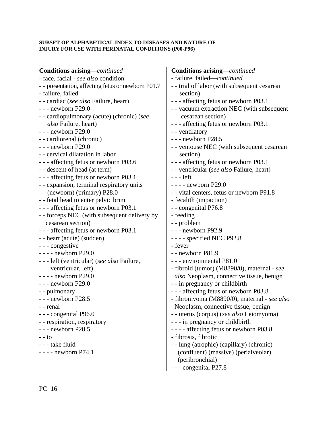| <b>Conditions arising</b> —continued               | <b>Conditions arising</b> —continued         |
|----------------------------------------------------|----------------------------------------------|
| - face, facial - see also condition                | - failure, failed-continued                  |
| - - presentation, affecting fetus or newborn P01.7 | - - trial of labor (with subsequent cesarean |
| - failure, failed                                  | section)                                     |
| - - cardiac (see also Failure, heart)              | - - - affecting fetus or newborn P03.1       |
| $--$ newborn P29.0                                 | - - vacuum extraction NEC (with subsequent   |
| - - cardiopulmonary (acute) (chronic) (see         | cesarean section)                            |
| also Failure, heart)                               | - - - affecting fetus or newborn P03.1       |
| $--$ newborn P29.0                                 | - - ventilatory                              |
| - - cardiorenal (chronic)                          | $--$ newborn P28.5                           |
| $--$ newborn P29.0                                 | - - ventouse NEC (with subsequent cesarean   |
| - - cervical dilatation in labor                   | section)                                     |
| - - - affecting fetus or newborn P03.6             | - - - affecting fetus or newborn P03.1       |
| - - descent of head (at term)                      | - - ventricular (see also Failure, heart)    |
| - - - affecting fetus or newborn P03.1             | - - - left                                   |
| - - expansion, terminal respiratory units          | $--$ - newborn P29.0                         |
| (newborn) (primary) P28.0                          | - - vital centers, fetus or newborn P91.8    |
| - - fetal head to enter pelvic brim                | - fecalith (impaction)                       |
| --- affecting fetus or newborn P03.1               | - - congenital P76.8                         |
| - - forceps NEC (with subsequent delivery by       | - feeding                                    |
| cesarean section)                                  | - - problem                                  |
| - - - affecting fetus or newborn P03.1             | - - - newborn P92.9                          |
| - - heart (acute) (sudden)                         | - - - - specified NEC P92.8                  |
| - - - congestive                                   | - fever                                      |
| $--$ - newborn P29.0                               | - - newborn P81.9                            |
| - - - left (ventricular) (see also Failure,        | - - - environmental P81.0                    |
| ventricular, left)                                 | - fibroid (tumor) (M8890/0), maternal - see  |
| - - - - newborn P29.0                              | also Neoplasm, connective tissue, benign     |
| $--$ newborn P29.0                                 | - - in pregnancy or childbirth               |
| - - pulmonary                                      | --- affecting fetus or newborn P03.8         |
| $--$ newborn P28.5                                 | - fibromyoma (M8890/0), maternal - see also  |
| - - renal                                          | Neoplasm, connective tissue, benign          |
| - - - congenital P96.0                             | - - uterus (corpus) (see also Leiomyoma)     |
| - - respiration, respiratory                       | - - - in pregnancy or childbirth             |
| $--$ newborn P28.5                                 | - - - - affecting fetus or newborn P03.8     |
| $- -10$                                            | - fibrosis, fibrotic                         |
| - - - take fluid                                   | - - lung (atrophic) (capillary) (chronic)    |
| $--$ - newborn P74.1                               | (confluent) (massive) (perialveolar)         |
|                                                    | (peribronchial)                              |
|                                                    | - - - congenital P27.8                       |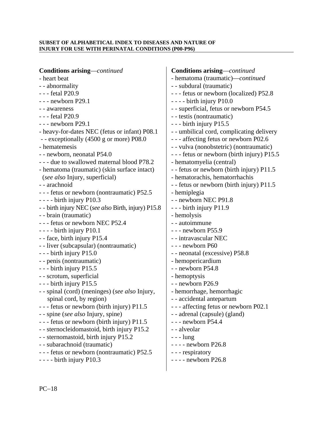| <b>Conditions arising</b> —continued                | <b>Conditions arising</b> —continued        |
|-----------------------------------------------------|---------------------------------------------|
| - heart beat                                        | - hematoma (traumatic)—continued            |
| - - abnormality                                     | - - subdural (traumatic)                    |
| - - - fetal P20.9                                   | - - - fetus or newborn (localized) P52.8    |
| $--$ newborn P29.1                                  | - - - - birth injury P10.0                  |
| - - awareness                                       | - - superficial, fetus or newborn P54.5     |
| - - - fetal P20.9                                   | - - testis (nontraumatic)                   |
| $--$ newborn P29.1                                  | - - - birth injury P15.5                    |
| - heavy-for-dates NEC (fetus or infant) P08.1       | - - umbilical cord, complicating delivery   |
| - - exceptionally (4500 g or more) P08.0            | - - - affecting fetus or newborn P02.6      |
| - hematemesis                                       | - - vulva (nonobstetric) (nontraumatic)     |
| - - newborn, neonatal P54.0                         | - - - fetus or newborn (birth injury) P15.5 |
| --- due to swallowed maternal blood P78.2           | - hematomyelia (central)                    |
| - hematoma (traumatic) (skin surface intact)        | - - fetus or newborn (birth injury) P11.5   |
| (see also Injury, superficial)                      | - hematorachis, hematorrhachis              |
| - - arachnoid                                       | - - fetus or newborn (birth injury) P11.5   |
| --- fetus or newborn (nontraumatic) P52.5           | - hemiplegia                                |
| $--$ birth injury P10.3                             | -- newborn NEC P91.8                        |
| - - birth injury NEC (see also Birth, injury) P15.8 | - - - birth injury P11.9                    |
| - - brain (traumatic)                               | - hemolysis                                 |
| --- fetus or newborn NEC P52.4                      | - - autoimmune                              |
| $--$ - birth injury P10.1                           | - - - newborn P55.9                         |
| - - face, birth injury P15.4                        | - - intravascular NEC                       |
| - - liver (subcapsular) (nontraumatic)              | - - - newborn P60                           |
| - - - birth injury P15.0                            | - - neonatal (excessive) P58.8              |
| - - penis (nontraumatic)                            | - hemopericardium                           |
| $- -$ birth injury P15.5                            | - - newborn P54.8                           |
| - - scrotum, superficial                            | - hemoptysis                                |
| $- -$ birth injury P15.5                            | - - newborn P26.9                           |
| - - spinal (cord) (meninges) (see also Injury,      | - hemorrhage, hemorrhagic                   |
| spinal cord, by region)                             | - - accidental antepartum                   |
| - - - fetus or newborn (birth injury) P11.5         | --- affecting fetus or newborn P02.1        |
| - - spine (see also Injury, spine)                  | - - adrenal (capsule) (gland)               |
| - - - fetus or newborn (birth injury) P11.5         | $--$ newborn P54.4                          |
| - - sternocleidomastoid, birth injury P15.2         | - - alveolar                                |
| - - sternomastoid, birth injury P15.2               | $- -$ lung                                  |
| - - subarachnoid (traumatic)                        | $--$ - newborn P26.8                        |
| - - - fetus or newborn (nontraumatic) P52.5         | - - - respiratory                           |
| $--$ birth injury P10.3                             | - - - - newborn P26.8                       |
|                                                     |                                             |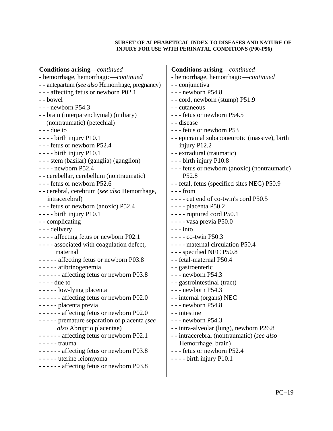| <b>Conditions arising</b> —continued            | <b>Conditions arising</b> —continued           |
|-------------------------------------------------|------------------------------------------------|
| - hemorrhage, hemorrhagic-continued             | - hemorrhage, hemorrhagic-continued            |
| - - antepartum (see also Hemorrhage, pregnancy) | - - conjunctiva                                |
| - - - affecting fetus or newborn P02.1          | $--$ newborn P54.8                             |
| - - bowel                                       | - - cord, newborn (stump) P51.9                |
| $--$ newborn P54.3                              | - - cutaneous                                  |
| - - brain (interparenchymal) (miliary)          | - - - fetus or newborn P54.5                   |
| (nontraumatic) (petechial)                      | - - disease                                    |
| $- -$ due to                                    | - - - fetus or newborn P53                     |
| $--$ - birth injury P10.1                       | - - epicranial subaponeurotic (massive), birth |
| --- fetus or newborn P52.4                      | injury P12.2                                   |
| $--$ - birth injury P10.1                       | - - extradural (traumatic)                     |
| - - - stem (basilar) (ganglia) (ganglion)       | - - - birth injury P10.8                       |
| $---$ newborn P52.4                             | - - - fetus or newborn (anoxic) (nontraumatic) |
| - - cerebellar, cerebellum (nontraumatic)       | P52.8                                          |
| --- fetus or newborn P52.6                      | - - fetal, fetus (specified sites NEC) P50.9   |
| - - cerebral, cerebrum (see also Hemorrhage,    | - - - from                                     |
| intracerebral)                                  | $---$ cut end of co-twin's cord P50.5          |
| --- fetus or newborn (anoxic) P52.4             | - - - - placenta P50.2                         |
| $--$ - birth injury P10.1                       | - - - - ruptured cord P50.1                    |
| - complicating                                  | $---$ vasa previa P50.0                        |
| - - - delivery                                  | $- - into$                                     |
| - - - - affecting fetus or newborn P02.1        | $---co-twin P50.3$                             |
| - - - - associated with coagulation defect,     | - - - - maternal circulation P50.4             |
| maternal                                        | - - - specified NEC P50.8                      |
| ----- affecting fetus or newborn P03.8          | - - fetal-maternal P50.4                       |
| - - - - - afibrinogenemia                       | - - gastroenteric                              |
| ------ affecting fetus or newborn P03.8         | $--$ newborn P54.3                             |
| $---$ due to                                    | - - gastrointestinal (tract)                   |
| - - - - - low-lying placenta                    | $--$ newborn P54.3                             |
| ------ affecting fetus or newborn P02.0         | - - internal (organs) NEC                      |
| - - - - - placenta previa                       | $--$ newborn P54.8                             |
| $---$ affecting fetus or newborn P02.0          | - - intestine                                  |
| - - - - - premature separation of placenta (see | $--$ newborn P54.3                             |
| <i>also</i> Abruptio placentae)                 | - - intra-alveolar (lung), newborn P26.8       |
| $---$ affecting fetus or newborn P02.1          | - - intracerebral (nontraumatic) (see also     |
| -  -  -  -  - trauma                            | Hemorrhage, brain)                             |
| ------ affecting fetus or newborn P03.8         | - - - fetus or newborn P52.4                   |
| - - - - - uterine leiomyoma                     | $- - -$ birth injury P10.1                     |
| ------ affecting fetus or newborn P03.8         |                                                |
|                                                 |                                                |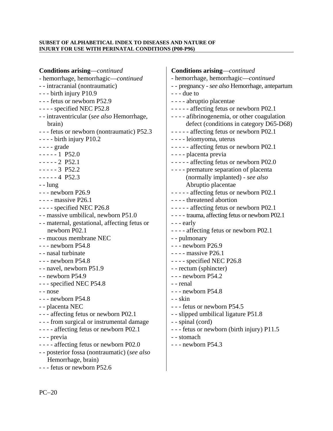**Conditions arising**—*continued*  - hemorrhage, hemorrhagic—*continued*  - - intracranial (nontraumatic) - - - birth injury P10.9 - - - fetus or newborn P52.9 - - - - specified NEC P52.8 - - intraventricular (*see also* Hemorrhage, brain) - - - fetus or newborn (nontraumatic) P52.3 - - - - birth injury P10.2 - - - - grade  $--- 1$  P52.0  $-- - 2$  P52.1  $-- - 3$  P52.2  $-- - - 4$  P52.3 - - lung - - - newborn P26.9 - - - - massive P26.1 - - - - specified NEC P26.8 - - massive umbilical, newborn P51.0 - - maternal, gestational, affecting fetus or newborn P02.1 - - mucous membrane NEC - - - newborn P54.8 - - nasal turbinate - - - newborn P54.8 - - navel, newborn P51.9 - - newborn P54.9 - - - specified NEC P54.8 - - nose - - - newborn P54.8 - - placenta NEC - - - affecting fetus or newborn P02.1 - - - from surgical or instrumental damage - - - - affecting fetus or newborn P02.1 - - - previa - - - - affecting fetus or newborn P02.0 - - posterior fossa (nontraumatic) (*see also* Hemorrhage, brain) - - - fetus or newborn P52.6

**Conditions arising**—*continued*  - hemorrhage, hemorrhagic—*continued*  - - pregnancy - *see also* Hemorrhage, antepartum  $- -$  due to - - - - abruptio placentae - - - - - affecting fetus or newborn P02.1 - - - - afibrinogenemia, or other coagulation defect (conditions in category D65-D68) - - - - - affecting fetus or newborn P02.1 - - - - leiomyoma, uterus - - - - - affecting fetus or newborn P02.1 - - - - placenta previa - - - - - affecting fetus or newborn P02.0 - - - - premature separation of placenta (normally implanted) - *see also* Abruptio placentae - - - - - affecting fetus or newborn P02.1 - - - - threatened abortion - - - - - affecting fetus or newborn P02.1 - - - - trauma, affecting fetus or newborn P02.1 - - - early - - - - affecting fetus or newborn P02.1 - - pulmonary - - - newborn P26.9 - - - - massive P26.1 - - - - specified NEC P26.8 - - rectum (sphincter) - - - newborn P54.2 - - renal - - - newborn P54.8 - - skin - - - fetus or newborn P54.5 - - slipped umbilical ligature P51.8 - - spinal (cord) - - - fetus or newborn (birth injury) P11.5 - - stomach - - - newborn P54.3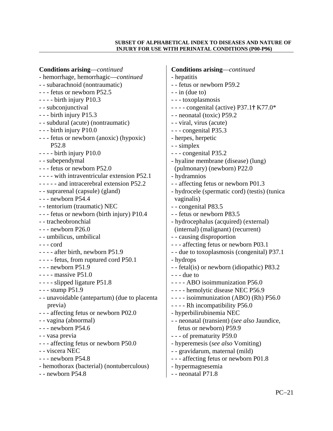| <b>Conditions arising</b> —continued          | <b>Conditions arising</b> —continued          |
|-----------------------------------------------|-----------------------------------------------|
| - hemorrhage, hemorrhagic-continued           | - hepatitis                                   |
| - - subarachnoid (nontraumatic)               | - - fetus or newborn P59.2                    |
| --- fetus or newborn P52.5                    | $-$ - in (due to)                             |
| $--$ birth injury P10.3                       | - - - toxoplasmosis                           |
| - - subconjunctival                           | - - - - congenital (active) P37.1† K77.0*     |
| - - - birth injury P15.3                      | - - neonatal (toxic) P59.2                    |
| - - subdural (acute) (nontraumatic)           | - - viral, virus (acute)                      |
| - - - birth injury P10.0                      | - - - congenital P35.3                        |
| - - - fetus or newborn (anoxic) (hypoxic)     | - herpes, herpetic                            |
| P <sub>52.8</sub>                             | - - simplex                                   |
| $--$ birth injury P10.0                       | - - - congenital P35.2                        |
| - - subependymal                              | - hyaline membrane (disease) (lung)           |
| --- fetus or newborn P52.0                    | (pulmonary) (newborn) P22.0                   |
| - - - - with intraventricular extension P52.1 | - hydramnios                                  |
| - - - - - and intracerebral extension P52.2   | - - affecting fetus or newborn P01.3          |
| - - suprarenal (capsule) (gland)              | - hydrocele (spermatic cord) (testis) (tunica |
| $--$ newborn P54.4                            | vaginalis)                                    |
| - - tentorium (traumatic) NEC                 | - - congenital P83.5                          |
| - - - fetus or newborn (birth injury) P10.4   | - - fetus or newborn P83.5                    |
| - - tracheobronchial                          | - hydrocephalus (acquired) (external)         |
| $--$ newborn P26.0                            | (internal) (malignant) (recurrent)            |
| - - umbilicus, umbilical                      | - - causing disproportion                     |
| - - - cord                                    | --- affecting fetus or newborn P03.1          |
| - - - - after birth, newborn P51.9            | - - due to toxoplasmosis (congenital) P37.1   |
| - - - - fetus, from ruptured cord P50.1       | - hydrops                                     |
| $--$ newborn $P51.9$                          | - fetal(is) or newborn (idiopathic) P83.2     |
| $---$ massive P51.0                           | $--$ due to                                   |
| - - - - slipped ligature P51.8                | - - - - ABO isoimmunization P56.0             |
| - - - stump P51.9                             | - - - - hemolytic disease NEC P56.9           |
| - - unavoidable (antepartum) (due to placenta | - - - - isoimmunization (ABO) (Rh) P56.0      |
| previa)                                       | - - - - Rh incompatibility P56.0              |
| - - - affecting fetus or newborn P02.0        | - hyperbilirubinemia NEC                      |
| - - vagina (abnormal)                         | - - neonatal (transient) (see also Jaundice,  |
| - - - newborn P54.6                           | fetus or newborn) P59.9                       |
| - - vasa previa                               | - - - of prematurity P59.0                    |
| - - - affecting fetus or newborn P50.0        | - hyperemesis (see also Vomiting)             |
| - - viscera NEC                               | - - gravidarum, maternal (mild)               |
| - - - newborn P54.8                           | --- affecting fetus or newborn P01.8          |
| - hemothorax (bacterial) (nontuberculous)     | - hypermagnesemia                             |
| - - newborn P54.8                             | - - neonatal P71.8                            |
|                                               |                                               |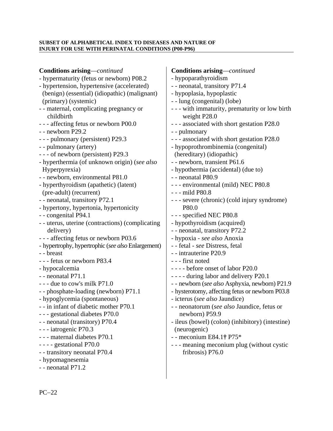| Conditions arising-continued                       | <b>Conditions arising</b> —continued             |
|----------------------------------------------------|--------------------------------------------------|
| - hypermaturity (fetus or newborn) P08.2           | - hypoparathyroidism                             |
| - hypertension, hypertensive (accelerated)         | - - neonatal, transitory P71.4                   |
| (benign) (essential) (idiopathic) (malignant)      | - hypoplasia, hypoplastic                        |
| (primary) (systemic)                               | - - lung (congenital) (lobe)                     |
| - - maternal, complicating pregnancy or            | - - - with immaturity, prematurity or low birth  |
| childbirth                                         | weight P28.0                                     |
| --- affecting fetus or newborn P00.0               | - - - associated with short gestation P28.0      |
| - - newborn P29.2                                  | - - pulmonary                                    |
| - - - pulmonary (persistent) P29.3                 | - - - associated with short gestation P28.0      |
| - - pulmonary (artery)                             | - hypoprothrombinemia (congenital)               |
| - - - of newborn (persistent) P29.3                | (hereditary) (idiopathic)                        |
| - hyperthermia (of unknown origin) (see also       | - - newborn, transient P61.6                     |
| Hyperpyrexia)                                      | - hypothermia (accidental) (due to)              |
| - - newborn, environmental P81.0                   | - - neonatal P80.9                               |
| - hyperthyroidism (apathetic) (latent)             | - - - environmental (mild) NEC P80.8             |
| (pre-adult) (recurrent)                            | - - - mild P80.8                                 |
| - - neonatal, transitory P72.1                     | - - - severe (chronic) (cold injury syndrome)    |
| - hypertony, hypertonia, hypertonicity             | P80.0                                            |
| - - congenital P94.1                               | - - - specified NEC P80.8                        |
| - - uterus, uterine (contractions) (complicating   | - hypothyroidism (acquired)                      |
| delivery)                                          | - - neonatal, transitory P72.2                   |
| --- affecting fetus or newborn P03.6               | - hypoxia - see also Anoxia                      |
| - hypertrophy, hypertrophic (see also Enlargement) | - - fetal - see Distress, fetal                  |
| - - breast                                         | - - intrauterine P20.9                           |
| - - - fetus or newborn P83.4                       | - - - first noted                                |
| - hypocalcemia                                     | ---- before onset of labor P20.0                 |
| - - neonatal P71.1                                 | - - - - during labor and delivery P20.1          |
| $- -$ - due to cow's milk P71.0                    | - - newborn (see also Asphyxia, newborn) P21.9   |
| - - phosphate-loading (newborn) P71.1              | - hysterotomy, affecting fetus or newborn P03.8  |
| - hypoglycemia (spontaneous)                       | - icterus (see also Jaundice)                    |
| - - in infant of diabetic mother P70.1             | - - neonatorum (see also Jaundice, fetus or      |
| - - - gestational diabetes P70.0                   | newborn) P59.9                                   |
| - - neonatal (transitory) P70.4                    | - ileus (bowel) (colon) (inhibitory) (intestine) |
| - - - iatrogenic P70.3                             | (neurogenic)                                     |
| - - - maternal diabetes P70.1                      | - - meconium E84.1† P75*                         |
| $---$ gestational P70.0                            | - - - meaning meconium plug (without cystic      |
| - - transitory neonatal P70.4                      | fribrosis) P76.0                                 |
| - hypomagnesemia                                   |                                                  |
| - - neonatal P71.2                                 |                                                  |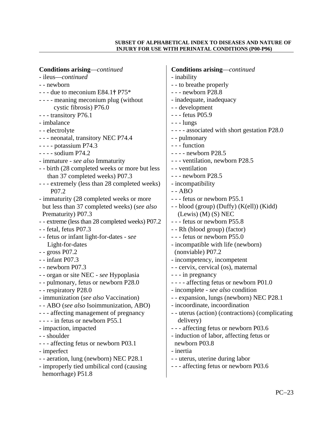| <b>Conditions arising</b> —continued             | <b>Conditions arising</b> —continued             |
|--------------------------------------------------|--------------------------------------------------|
| - ileus—continued                                | - inability                                      |
| - - newborn                                      | - - to breathe properly                          |
| - - - due to meconium E84.1† $P75*$              | $--$ newborn P28.8                               |
| - - - - meaning meconium plug (without           | - inadequate, inadequacy                         |
| cystic fibrosis) P76.0                           | - - development                                  |
| - - - transitory P76.1                           | - - - fetus P05.9                                |
| - imbalance                                      | $- -$ lungs                                      |
| - - electrolyte                                  | - - - - associated with short gestation P28.0    |
| - - - neonatal, transitory NEC P74.4             | - - pulmonary                                    |
| $--$ - potassium P74.3                           | - - - function                                   |
| $--$ sodium P74.2                                | $--$ - newborn P28.5                             |
| - immature - see also Immaturity                 | - - - ventilation, newborn P28.5                 |
| - - birth (28 completed weeks or more but less   | - ventilation                                    |
| than 37 completed weeks) P07.3                   | $--$ newborn P28.5                               |
| --- extremely (less than 28 completed weeks)     | - incompatibility                                |
| P <sub>07.2</sub>                                | $ ABO$                                           |
| - immaturity (28 completed weeks or more         | - - - fetus or newborn P55.1                     |
| but less than 37 completed weeks) (see also      | - - blood (group) (Duffy) (K(ell)) (Kidd)        |
| Prematurity) P07.3                               | ( Lewis) (M) (S) NEC                             |
| - - extreme (less than 28 completed weeks) P07.2 | - - - fetus or newborn P55.8                     |
| - - fetal, fetus P07.3                           | - - Rh (blood group) (factor)                    |
| - - fetus or infant light-for-dates - see        | --- fetus or newborn P55.0                       |
| Light-for-dates                                  | - incompatible with life (newborn)               |
| $-$ gross P07.2                                  | (nonviable) P07.2                                |
| - - infant P07.3                                 | - incompetency, incompetent                      |
| - - newborn P07.3                                | - - cervix, cervical (os), maternal              |
| - - organ or site NEC - see Hypoplasia           | - - - in pregnancy                               |
| - - pulmonary, fetus or newborn P28.0            | ---- affecting fetus or newborn P01.0            |
| - - respiratory P28.0                            | - incomplete - see also condition                |
| - immunization (see also Vaccination)            | - - expansion, lungs (newborn) NEC P28.1         |
| - - ABO (see also Isoimmunization, ABO)          | - incoordinate, incoordination                   |
| - - - affecting management of pregnancy          | - - uterus (action) (contractions) (complicating |
| $---$ in fetus or newborn P55.1                  | delivery)                                        |
| - impaction, impacted                            | - - - affecting fetus or newborn P03.6           |
| - - shoulder                                     | - induction of labor, affecting fetus or         |
| - - - affecting fetus or newborn P03.1           | newborn P03.8                                    |
| - imperfect                                      | - inertia                                        |
| - - aeration, lung (newborn) NEC P28.1           | - - uterus, uterine during labor                 |
| - improperly tied umbilical cord (causing        | - - - affecting fetus or newborn P03.6           |
| hemorrhage) P51.8                                |                                                  |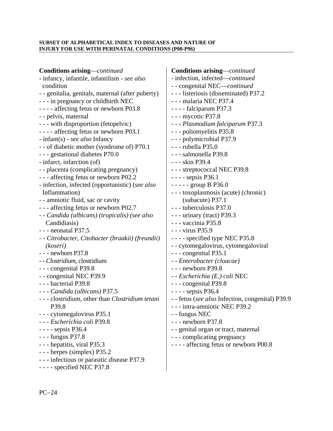| <b>Conditions arising</b> —continued              | <b>Conditions arising</b> —continued             |
|---------------------------------------------------|--------------------------------------------------|
| - infancy, infantile, infantilism - see also      | - infection, infected—continued                  |
| condition                                         | - - congenital NEC—continued                     |
| - - genitalia, genitals, maternal (after puberty) | - - - listeriosis (disseminated) P37.2           |
| - - - in pregnancy or childbirth NEC              | - - - malaria NEC P37.4                          |
| - - - - affecting fetus or newborn P03.8          | - - - - falciparum P37.3                         |
| - - pelvis, maternal                              | - - - mycotic P37.8                              |
| - - - with disproportion (fetopelvic)             | - - - Plasmodium falciparum P37.3                |
| - - - - affecting fetus or newborn P03.1          | - - - poliomyelitis P35.8                        |
| - infant(s) - see also Infancy                    | - - - polymicrobial P37.9                        |
| - - of diabetic mother (syndrome of) P70.1        | - - - rubella P35.0                              |
| - - - gestational diabetes P70.0                  | - - - salmonella P39.8                           |
| - infarct, infarction (of)                        | - - - skin P39.4                                 |
| - - placenta (complicating pregnancy)             | - - - streptococcal NEC P39.8                    |
| - - - affecting fetus or newborn P02.2            | - - - - sepsis P36.1                             |
| - infection, infected (opportunistic) (see also   | $-- -$ = group B P36.0                           |
| Inflammation)                                     | - - - toxoplasmosis (acute) (chronic)            |
| - - amniotic fluid, sac or cavity                 | (subacute) P37.1                                 |
| - - - affecting fetus or newborn P02.7            | - - - tuberculosis P37.0                         |
| - - Candida (albicans) (tropicalis) (see also     | - - - urinary (tract) P39.3                      |
| Candidiasis)                                      | - - - vaccinia P35.8                             |
| $--$ neonatal P37.5                               | - - - virus P35.9                                |
| - - Citrobacter, Citobacter (braakii) (freundii)  | - - - - specified type NEC P35.8                 |
| (koseri)                                          | - - cytomegalovirus, cytomegaloviral             |
| $--$ newborn P37.8                                | - - - congenital P35.1                           |
| - - Clostridium, clostridium                      | - - Enterobacter (cloacae)                       |
| - - - congenital P39.8                            | $--$ newborn P39.8                               |
| - - congenital NEC P39.9                          | - - Escherichia (E.) coli NEC                    |
| - - - bacterial P39.8                             | - - - congenital P39.8                           |
| - - - Candida (albicans) P37.5                    | - - - - sepsis P36.4                             |
| - - - clostridium, other than Clostridium tetani  | - - fetus (see also Infection, congenital) P39.9 |
| P39.8                                             | - - - intra-amniotic NEC P39.2                   |
| - - - cytomegalovirus P35.1                       | - - fungus NEC                                   |
| - - - Escherichia coli P39.8                      | - - - newborn P37.8                              |
| - - - - sepsis P36.4                              | - - genital organ or tract, maternal             |
| - - - fungus P37.8                                | - - - complicating pregnancy                     |
| - - - hepatitis, viral P35.3                      | - - - - affecting fetus or newborn P00.8         |
| $--$ herpes (simplex) P35.2                       |                                                  |
| - - - infectious or parasitic disease P37.9       |                                                  |
| - - - - specified NEC P37.8                       |                                                  |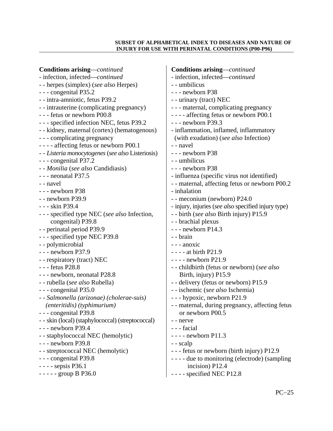| <b>Conditions arising</b> —continued              | <b>Conditions arising</b> —continued                |
|---------------------------------------------------|-----------------------------------------------------|
| - infection, infected-continued                   | - infection, infected—continued                     |
| - - herpes (simplex) (see also Herpes)            | - - umbilicus                                       |
| - - - congenital P35.2                            | - - - newborn P38                                   |
| - - intra-amniotic, fetus P39.2                   | - - urinary (tract) NEC                             |
| - - intrauterine (complicating pregnancy)         | - - - maternal, complicating pregnancy              |
| --- fetus or newborn P00.8                        | ---- affecting fetus or newborn P00.1               |
| - - - specified infection NEC, fetus P39.2        | $--$ newborn P39.3                                  |
| - - kidney, maternal (cortex) (hematogenous)      | - inflammation, inflamed, inflammatory              |
| - - - complicating pregnancy                      | (with exudation) (see also Infection)               |
| - - - - affecting fetus or newborn P00.1          | - - navel                                           |
| - - Listeria monocytogenes (see also Listeriosis) | $--$ newborn P38                                    |
| - - - congenital P37.2                            | - - umbilicus                                       |
| - <i>Monilia</i> (see also Candidiasis)           | - - - newborn P38                                   |
| $--$ neonatal P37.5                               | - influenza (specific virus not identified)         |
| - - navel                                         | - - maternal, affecting fetus or newborn P00.2      |
| - - - newborn P38                                 | - inhalation                                        |
| - - newborn P39.9                                 | - - meconium (newborn) P24.0                        |
| - - - skin P39.4                                  | - injury, injuries (see also specified injury type) |
| - - - specified type NEC (see also Infection,     | - - birth (see also Birth injury) P15.9             |
| congenital) P39.8                                 | - - brachial plexus                                 |
| - - perinatal period P39.9                        | $--$ newborn P14.3                                  |
| - - - specified type NEC P39.8                    | - - brain                                           |
| - - polymicrobial                                 | - - - anoxic                                        |
| $--$ newborn P37.9                                | $---$ at birth P21.9                                |
| - - respiratory (tract) NEC                       | $--$ - newborn P21.9                                |
| - - - fetus P28.8                                 | - - childbirth (fetus or newborn) (see also         |
| - - - newborn, neonatal P28.8                     | Birth, injury) P15.9                                |
| - - rubella (see also Rubella)                    | - - delivery (fetus or newborn) P15.9               |
| - - - congenital P35.0                            | - - ischemic (see also Ischemia)                    |
| - - Salmonella (arizonae) (cholerae-suis)         | - - - hypoxic, newborn P21.9                        |
| (enteritidis) (typhimurium)                       | - - maternal, during pregnancy, affecting fetus     |
| - - - congenital P39.8                            | or newborn P00.5                                    |
| - - skin (local) (staphylococcal) (streptococcal) | - - nerve                                           |
| - - - newborn P39.4                               | - - - facial                                        |
| - - staphylococcal NEC (hemolytic)                | $--$ - newborn P11.3                                |
| $--$ newborn P39.8                                | - - scalp                                           |
| - - streptococcal NEC (hemolytic)                 | - - - fetus or newborn (birth injury) P12.9         |
| - - - congenital P39.8                            | - - - - due to monitoring (electrode) (sampling     |
| $--$ sepsis P36.1                                 | incision) P12.4                                     |
| $---$ group B P36.0                               | - - - - specified NEC P12.8                         |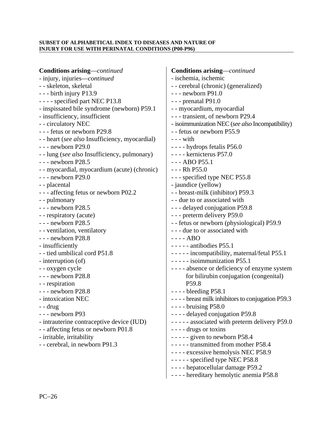| <b>Conditions arising</b> —continued           | <b>Conditions arising</b> —continued                |
|------------------------------------------------|-----------------------------------------------------|
| - injury, injuries— <i>continued</i>           | - ischemia, ischemic                                |
| - - skeleton, skeletal                         | - - cerebral (chronic) (generalized)                |
| - - - birth injury P13.9                       | $--$ newborn P91.0                                  |
| - - - - specified part NEC P13.8               | $--$ prenatal P91.0                                 |
| - inspissated bile syndrome (newborn) P59.1    | - - myocardium, myocardial                          |
| - insufficiency, insufficient                  | - - - transient, of newborn P29.4                   |
| - - circulatory NEC                            | - isoimmunization NEC (see also Incompatibility)    |
| --- fetus or newborn P29.8                     | - - fetus or newborn P55.9                          |
| - - heart (see also Insufficiency, myocardial) | $- -$ with                                          |
| $--$ newborn P29.0                             | - - - - hydrops fetalis P56.0                       |
| - - lung (see also Insufficiency, pulmonary)   | - - - - kernicterus P57.0                           |
| $--$ newborn P28.5                             | $--$ ABO P55.1                                      |
| - - myocardial, myocardium (acute) (chronic)   | $- -$ Rh P55.0                                      |
| $--$ newborn P29.0                             | - - - specified type NEC P55.8                      |
| - - placental                                  | - jaundice (yellow)                                 |
| - - - affecting fetus or newborn P02.2         | - - breast-milk (inhibitor) P59.3                   |
| - - pulmonary                                  | - - due to or associated with                       |
| $--$ newborn P28.5                             | - - - delayed conjugation P59.8                     |
| - - respiratory (acute)                        | - - - preterm delivery P59.0                        |
| $--$ newborn P28.5                             | - - fetus or newborn (physiological) P59.9          |
| - - ventilation, ventilatory                   | --- due to or associated with                       |
| $--$ newborn P28.8                             | $---ABO$                                            |
| - insufficiently                               | $---$ antibodies P55.1                              |
| - - tied umbilical cord P51.8                  | - - - - - incompatibility, maternal/fetal P55.1     |
| - interruption (of)                            | - - - - - isoimmunization P55.1                     |
| - - oxygen cycle                               | - - - - absence or deficiency of enzyme system      |
| $--$ newborn P28.8                             | for bilirubin conjugation (congenital)              |
| - - respiration                                | P <sub>59.8</sub>                                   |
| $--$ newborn P28.8                             | $--$ bleeding P58.1                                 |
| - intoxication NEC                             | - - - - breast milk inhibitors to conjugation P59.3 |
| - - drug                                       | $--$ - bruising P58.0                               |
| $--$ newborn P93                               | - - - - delayed conjugation P59.8                   |
| - intrauterine contraceptive device (IUD)      | - - - - - associated with preterm delivery P59.0    |
| - - affecting fetus or newborn P01.8           | $---$ drugs or toxins                               |
| - irritable, irritability                      | - - - - - given to newborn P58.4                    |
| - - cerebral, in newborn P91.3                 | - - - - - transmitted from mother P58.4             |
|                                                | ---- excessive hemolysis NEC P58.9                  |
|                                                | $---$ specified type NEC P58.8                      |
|                                                | - - - - hepatocellular damage P59.2                 |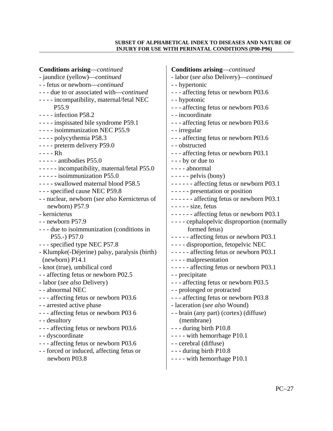| <b>Conditions arising</b> —continued<br>- jaundice (yellow)—continued<br>- - fetus or newborn-continued | <b>Conditions arising</b> —continued<br>- labor (see also Delivery)—continued<br>- - hypertonic |
|---------------------------------------------------------------------------------------------------------|-------------------------------------------------------------------------------------------------|
| --- due to or associated with-continued<br>- - - - incompatibility, maternal/fetal NEC                  | - - - affecting fetus or newborn P03.6<br>- - hypotonic                                         |
| P <sub>55.9</sub>                                                                                       | --- affecting fetus or newborn P03.6                                                            |
| - - - - infection P58.2                                                                                 | - - incoordinate                                                                                |
| - - - - inspissated bile syndrome P59.1                                                                 | --- affecting fetus or newborn P03.6                                                            |
| - - - - isoimmunization NEC P55.9                                                                       | - - irregular                                                                                   |
| - - - - polycythemia P58.3                                                                              | - - - affecting fetus or newborn P03.6                                                          |
| - - - - preterm delivery P59.0                                                                          | - - obstructed                                                                                  |
| - - - - Rh<br>$---$ antibodies P55.0                                                                    | --- affecting fetus or newborn P03.1                                                            |
| - - - - - incompatibility, maternal/fetal P55.0                                                         | $- -$ by or due to<br>- - - - abnormal                                                          |
| - - - - - isoimmunization P55.0                                                                         | $---$ pelvis (bony)                                                                             |
| - - - - swallowed maternal blood P58.5                                                                  | ------ affecting fetus or newborn P03.1                                                         |
| - - - specified cause NEC P59.8                                                                         | - - - - - presentation or position                                                              |
| - - nuclear, newborn (see also Kernicterus of                                                           | ------ affecting fetus or newborn P03.1                                                         |
| newborn) P57.9                                                                                          | $---size$ , fetus                                                                               |
| - kernicterus                                                                                           | ------ affecting fetus or newborn P03.1                                                         |
| - - newborn P57.9                                                                                       | - - - - cephalopelvic disproportion (normally                                                   |
| - - - due to isoimmunization (conditions in                                                             | formed fetus)                                                                                   |
| P55.-) P57.0                                                                                            | - - - - - affecting fetus or newborn P03.1                                                      |
| - - - specified type NEC P57.8                                                                          | - - - - disproportion, fetopelvic NEC                                                           |
| - Klumpke(-Déjerine) palsy, paralysis (birth)                                                           | ----- affecting fetus or newborn P03.1                                                          |
| $(newborn)$ P14.1                                                                                       | - - - - malpresentation                                                                         |
| - knot (true), umbilical cord<br>- - affecting fetus or newborn P02.5                                   | - - - - - affecting fetus or newborn P03.1<br>- - precipitate                                   |
| - labor (see also Delivery)                                                                             | --- affecting fetus or newborn P03.5                                                            |
| - - abnormal NEC                                                                                        | - - prolonged or protracted                                                                     |
| - - - affecting fetus or newborn P03.6                                                                  | --- affecting fetus or newborn P03.8                                                            |
| - - arrested active phase                                                                               | - laceration (see also Wound)                                                                   |
| - - - affecting fetus or newborn P03 6                                                                  | - - brain (any part) (cortex) (diffuse)                                                         |
| - - desultory                                                                                           | (membrane)                                                                                      |
| - - - affecting fetus or newborn P03.6                                                                  | - - - during birth P10.8                                                                        |
| - - dyscoordinate                                                                                       | $--$ with hemorrhage P10.1                                                                      |
| --- affecting fetus or newborn P03.6                                                                    | - - cerebral (diffuse)                                                                          |
| - - forced or induced, affecting fetus or                                                               | - - - during birth P10.8                                                                        |
| newborn P03.8                                                                                           | - - - - with hemorrhage P10.1                                                                   |
|                                                                                                         |                                                                                                 |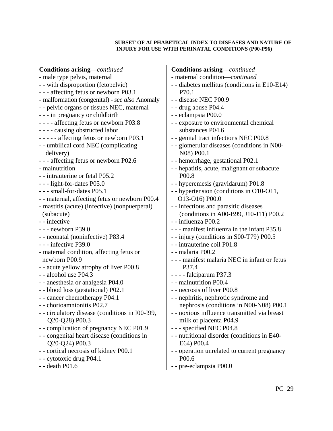| <b>Conditions arising</b> —continued            | Conditions arising-continued                  |
|-------------------------------------------------|-----------------------------------------------|
| - male type pelvis, maternal                    | - maternal condition-continued                |
| - - with disproportion (fetopelvic)             | - - diabetes mellitus (conditions in E10-E14) |
| - - - affecting fetus or newborn P03.1          | P70.1                                         |
| - malformation (congenital) - see also Anomaly  | - - disease NEC P00.9                         |
| - - pelvic organs or tissues NEC, maternal      | - - drug abuse P04.4                          |
| - - - in pregnancy or childbirth                | - - eclampsia P00.0                           |
| - - - - affecting fetus or newborn P03.8        | - - exposure to environmental chemical        |
| - - - - causing obstructed labor                | substances P04.6                              |
| - - - - - affecting fetus or newborn P03.1      | - - genital tract infections NEC P00.8        |
| - - umbilical cord NEC (complicating            | - - glomerular diseases (conditions in N00-   |
| delivery)                                       | N08) P00.1                                    |
| --- affecting fetus or newborn P02.6            | - - hemorrhage, gestational P02.1             |
| - malnutrition                                  | - - hepatitis, acute, malignant or subacute   |
| - - intrauterine or fetal P05.2                 | P <sub>00.8</sub>                             |
| - - - light-for-dates P05.0                     | - - hyperemesis (gravidarum) P01.8            |
| --- small-for-dates P05.1                       | - - hypertension (conditions in O10-O11,      |
| - - maternal, affecting fetus or newborn P00.4  | O13-O16) P00.0                                |
| - mastitis (acute) (infective) (nonpuerperal)   | - - infectious and parasitic diseases         |
| (subacute)                                      | (conditions in A00-B99, J10-J11) P00.2        |
| - - infective                                   | - - influenza P00.2                           |
| $--$ newborn P39.0                              | - - - manifest influenza in the infant P35.8  |
| - - neonatal (noninfective) P83.4               | - - injury (conditions in S00-T79) P00.5      |
| $- -$ infective P39.0                           | - - intrauterine coil P01.8                   |
| - maternal condition, affecting fetus or        | - - malaria P00.2                             |
| newborn P00.9                                   | - - - manifest malaria NEC in infant or fetus |
| - - acute yellow atrophy of liver P00.8         | P37.4                                         |
| - - alcohol use P04.3                           | - - - - falciparum P37.3                      |
| - - anesthesia or analgesia P04.0               | - - malnutrition P00.4                        |
| - - blood loss (gestational) P02.1              | - - necrosis of liver P00.8                   |
| - - cancer chemotherapy P04.1                   | - - nephritis, nephrotic syndrome and         |
| - - chorioamnionitis P02.7                      | nephrosis (conditions in N00-N08) P00.1       |
| - - circulatory disease (conditions in I00-I99, | - - noxious influence transmitted via breast  |
| Q20-Q28) P00.3                                  | milk or placenta P04.9                        |
| - - complication of pregnancy NEC P01.9         | - - - specified NEC P04.8                     |
| - - congenital heart disease (conditions in     | - - nutritional disorder (conditions in E40-  |
| Q20-Q24) P00.3                                  | E64) P00.4                                    |
| - - cortical necrosis of kidney P00.1           | - - operation unrelated to current pregnancy  |
| - - cytotoxic drug P04.1                        | P <sub>00.6</sub>                             |
| $-$ - death P01.6                               | - - pre-eclampsia P00.0                       |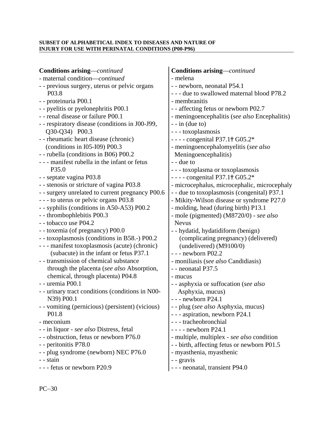| <b>Conditions arising</b> —continued             | <b>Conditions arising</b> —continued          |
|--------------------------------------------------|-----------------------------------------------|
| - maternal condition-continued                   | - melena                                      |
| - - previous surgery, uterus or pelvic organs    | - - newborn, neonatal P54.1                   |
| P <sub>0</sub> 3.8                               | - - - due to swallowed maternal blood P78.2   |
| - - proteinuria P00.1                            | - membranitis                                 |
| - - pyelitis or pyelonephritis P00.1             | - - affecting fetus or newborn P02.7          |
| - - renal disease or failure P00.1               | - meningoencephalitis (see also Encephalitis) |
| - - respiratory disease (conditions in J00-J99,  | $-$ - in (due to)                             |
| Q30-Q34) P00.3                                   | - - - toxoplasmosis                           |
| - - rheumatic heart disease (chronic)            | - - - - congenital P37.1† $G05.2^*$           |
| (conditions in I05-I09) P00.3                    | - meningoencephalomyelitis (see also          |
| - - rubella (conditions in B06) P00.2            | Meningoencephalitis)                          |
| --- manifest rubella in the infant or fetus      | - - due to                                    |
| P35.0                                            | - - - toxoplasma or toxoplasmosis             |
| - - septate vagina P03.8                         | - - - - congenital P37.1† G05.2*              |
| - - stenosis or stricture of vagina P03.8        | - microcephalus, microcephalic, microcephaly  |
| - - surgery unrelated to current pregnancy P00.6 | - - due to toxoplasmosis (congenital) P37.1   |
| - - - to uterus or pelvic organs P03.8           | - Mikity-Wilson disease or syndrome P27.0     |
| - - syphilis (conditions in A50-A53) P00.2       | - molding, head (during birth) P13.1          |
| - - thrombophlebitis P00.3                       | - mole (pigmented) (M8720/0) - see also       |
| - - tobacco use P04.2                            | <b>Nevus</b>                                  |
| - - toxemia (of pregnancy) P00.0                 | - - hydatid, hydatidiform (benign)            |
| - - toxoplasmosis (conditions in B58.-) P00.2    | (complicating pregnancy) (delivered)          |
| - - - manifest toxoplasmosis (acute) (chronic)   | (undelivered) $(M9100/0)$                     |
| (subacute) in the infant or fetus P37.1          | $--$ newborn P02.2                            |
| - - transmission of chemical substance           | - moniliasis (see also Candidiasis)           |
| through the placenta (see also Absorption,       | - - neonatal P37.5                            |
| chemical, through placenta) P04.8                | - mucus                                       |
| - - uremia P00.1                                 | - - asphyxia or suffocation (see also         |
| - - urinary tract conditions (conditions in N00- | Asphyxia, mucus)                              |
| N39) P00.1                                       | $--$ newborn P24.1                            |
| - - vomiting (pernicious) (persistent) (vicious) | - - plug (see also Asphyxia, mucus)           |
| P <sub>01.8</sub>                                | - - - aspiration, newborn P24.1               |
| - meconium                                       | - - - tracheobronchial                        |
| - - in liquor - see also Distress, fetal         | - - - - newborn P24.1                         |
| - - obstruction, fetus or newborn P76.0          | - multiple, multiplex - see also condition    |
| - - peritonitis P78.0                            | - - birth, affecting fetus or newborn P01.5   |
| - - plug syndrome (newborn) NEC P76.0            | - myasthenia, myasthenic                      |
| - - stain                                        | - - gravis                                    |
| --- fetus or newborn P20.9                       | - - - neonatal, transient P94.0               |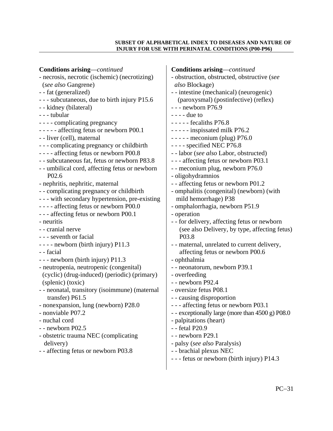| <b>Conditions arising</b> —continued            | <b>Conditions arising</b> —continued             |
|-------------------------------------------------|--------------------------------------------------|
| - necrosis, necrotic (ischemic) (necrotizing)   | - obstruction, obstructed, obstructive (see      |
| (see also Gangrene)                             | also Blockage)                                   |
| - - fat (generalized)                           | - - intestine (mechanical) (neurogenic)          |
| - - - subcutaneous, due to birth injury P15.6   | (paroxysmal) (postinfective) (reflex)            |
| - - kidney (bilateral)                          | - - - newborn P76.9                              |
| - - - tubular                                   | $---$ due to                                     |
| - - - - complicating pregnancy                  | $---$ fecaliths P76.8                            |
| ----- affecting fetus or newborn P00.1          | - - - - - inspissated milk P76.2                 |
| - - liver (cell), maternal                      | $---$ meconium (plug) P76.0                      |
| - - - complicating pregnancy or childbirth      | - - - - specified NEC P76.8                      |
| ---- affecting fetus or newborn P00.8           | -- labor (see also Labor, obstructed)            |
| - - subcutaneous fat, fetus or newborn P83.8    | - - - affecting fetus or newborn P03.1           |
| - - umbilical cord, affecting fetus or newborn  | - - meconium plug, newborn P76.0                 |
| P <sub>02.6</sub>                               | - oligohydramnios                                |
| - nephritis, nephritic, maternal                | - - affecting fetus or newborn P01.2             |
| - - complicating pregnancy or childbirth        | - omphalitis (congenital) (newborn) (with        |
| - - - with secondary hypertension, pre-existing | mild hemorrhage) P38                             |
| - - - - affecting fetus or newborn P00.0        | - omphalorrhagia, newborn P51.9                  |
| - - - affecting fetus or newborn P00.1          | - operation                                      |
| - neuritis                                      | - - for delivery, affecting fetus or newborn     |
| - - cranial nerve                               | (see also Delivery, by type, affecting fetus)    |
| - - - seventh or facial                         | P <sub>0</sub> 3.8                               |
| $---$ newborn (birth injury) P11.3              | - - maternal, unrelated to current delivery,     |
| - - facial                                      | affecting fetus or newborn P00.6                 |
| - - - newborn (birth injury) P11.3              | - ophthalmia                                     |
| - neutropenia, neutropenic (congenital)         | - - neonatorum, newborn P39.1                    |
| (cyclic) (drug-induced) (periodic) (primary)    | - overfeeding                                    |
| (splenic) (toxic)                               | - - newborn P92.4                                |
| - - neonatal, transitory (isoimmune) (maternal  | - oversize fetus P08.1                           |
| transfer) P61.5                                 | - - causing disproportion                        |
| - nonexpansion, lung (newborn) P28.0            | - - - affecting fetus or newborn P03.1           |
| - nonviable P07.2                               | - - exceptionally large (more than 4500 g) P08.0 |
| - nuchal cord                                   | - palpitations (heart)                           |
| - - newborn P02.5                               | - - fetal P20.9                                  |
| - obstetric trauma NEC (complicating            | - - newborn P29.1                                |
| delivery)                                       | - palsy (see also Paralysis)                     |
| - - affecting fetus or newborn P03.8            | - - brachial plexus NEC                          |
|                                                 | - - - fetus or newborn (birth injury) P14.3      |

 $\overline{\phantom{a}}$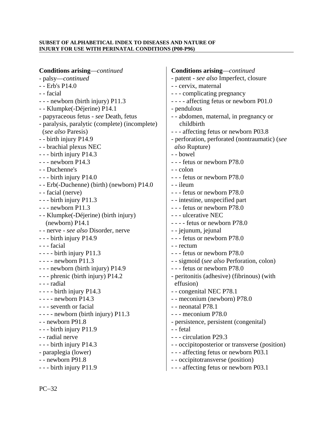| <b>Conditions arising</b> —continued           | <b>Conditions arising</b> —continued           |
|------------------------------------------------|------------------------------------------------|
| - palsy-continued                              | - patent - see also Imperfect, closure         |
| - - Erb's P14.0                                | - - cervix, maternal                           |
| - - facial                                     | - - - complicating pregnancy                   |
| - - - newborn (birth injury) P11.3             | - - - - affecting fetus or newborn P01.0       |
| - - Klumpke(-Déjerine) P14.1                   | - pendulous                                    |
| - papyraceous fetus - see Death, fetus         | - - abdomen, maternal, in pregnancy or         |
| - paralysis, paralytic (complete) (incomplete) | childbirth                                     |
| (see also Paresis)                             | - - - affecting fetus or newborn P03.8         |
| - - birth injury P14.9                         | - perforation, perforated (nontraumatic) (see  |
| - - brachial plexus NEC                        | also Rupture)                                  |
| - - - birth injury P14.3                       | - - bowel                                      |
| $--$ newborn P14.3                             | --- fetus or newborn P78.0                     |
| - - Duchenne's                                 | - - colon                                      |
| - - - birth injury P14.0                       | - - - fetus or newborn P78.0                   |
| - - Erb(-Duchenne) (birth) (newborn) P14.0     | - - ileum                                      |
| - - facial (nerve)                             | --- fetus or newborn P78.0                     |
| - - - birth injury P11.3                       | - - intestine, unspecified part                |
| $--$ newborn P11.3                             | --- fetus or newborn P78.0                     |
| - - Klumpke(-Déjerine) (birth injury)          | - - - ulcerative NEC                           |
| (newborn) P14.1                                | - - - - fetus or newborn P78.0                 |
| - - nerve - see also Disorder, nerve           | - - jejunum, jejunal                           |
| - - - birth injury P14.9                       | --- fetus or newborn P78.0                     |
| - - - facial                                   | - - rectum                                     |
| $--$ birth injury P11.3                        | - - - fetus or newborn P78.0                   |
| $---$ newborn P11.3                            | - - sigmoid (see also Perforation, colon)      |
| - - - newborn (birth injury) P14.9             | --- fetus or newborn P78.0                     |
| - - - phrenic (birth injury) P14.2             | - peritonitis (adhesive) (fibrinous) (with     |
| - - - radial                                   | effusion)                                      |
| $--$ - birth injury P14.3                      | - - congenital NEC P78.1                       |
| $--$ - newborn P14.3                           | - - meconium (newborn) P78.0                   |
| - - - seventh or facial                        | - - neonatal P78.1                             |
| $---$ newborn (birth injury) P11.3             | - - - meconium P78.0                           |
| - - newborn P91.8                              | - persistence, persistent (congenital)         |
| - - - birth injury P11.9                       | - - fetal                                      |
| - - radial nerve                               | - - - circulation P29.3                        |
| $-$ - birth injury P14.3                       | - - occipitoposterior or transverse (position) |
| - paraplegia (lower)                           | --- affecting fetus or newborn P03.1           |
| - - newborn P91.8                              | - - occipitotransverse (position)              |
| - - - birth injury P11.9                       | --- affecting fetus or newborn P03.1           |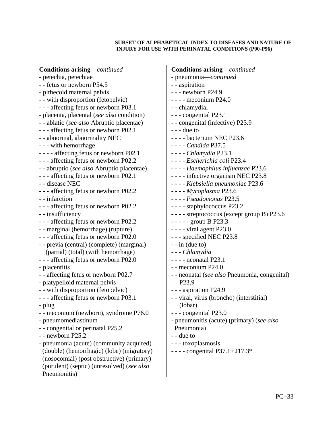| <b>Conditions arising</b> —continued<br>- petechia, petechiae<br>- - fetus or newborn P54.5<br>- pithecoid maternal pelvis<br>- - with disproportion (fetopelvic)<br>- - - affecting fetus or newborn P03.1<br>- placenta, placental (see also condition)<br>- - ablatio (see also Abruptio placentae)<br>- - - affecting fetus or newborn P02.1<br>- - abnormal, abnormality NEC<br>- - - with hemorrhage<br>---- affecting fetus or newborn P02.1<br>--- affecting fetus or newborn P02.2<br>- - abruptio (see also Abruptio placentae)<br>--- affecting fetus or newborn P02.1<br>- - disease NEC<br>--- affecting fetus or newborn P02.2<br>- - infarction<br>--- affecting fetus or newborn P02.2<br>- - insufficiency<br>- - - affecting fetus or newborn P02.2<br>- - marginal (hemorrhage) (rupture)<br>- - - affecting fetus or newborn P02.0<br>- - previa (central) (complete) (marginal)<br>(partial) (total) (with hemorrhage)<br>- - - affecting fetus or newborn P02.0<br>- placentitis<br>- - affecting fetus or newborn P02.7<br>- platypelloid maternal pelvis<br>- - with disproportion (fetopelvic)<br>- - - affecting fetus or newborn P03.1<br>- plug<br>- - meconium (newborn), syndrome P76.0<br>- pneumomediastinum | <b>Conditions arising</b> —continued<br>- pneumonia— <i>continued</i><br>- - aspiration<br>$--$ newborn P24.9<br>$--$ meconium P24.0<br>- - chlamydial<br>- - - congenital P23.1<br>- - congenital (infective) P23.9<br>$--$ due to<br>- - - - bacterium NEC P23.6<br>- - - - Candida P37.5<br>- - - - Chlamydia P23.1<br>- - - - Escherichia coli P23.4<br>- - - - Haemophilus influenzae P23.6<br>- - - - infective organism NEC P23.8<br>- - - - Klebsiella pneumoniae P23.6<br>- - - - Mycoplasma P23.6<br>- - - - Pseudomonas P23.5<br>- - - - staphylococcus P23.2<br>- - - - streptococcus (except group B) P23.6<br>- - - - - group B P23.3<br>$--$ viral agent P23.0<br>--- specified NEC P23.8<br>$-$ - in (due to)<br>- - - Chlamydia<br>$--$ - neonatal P23.1<br>- - meconium P24.0<br>- - neonatal (see also Pneumonia, congenital)<br>P <sub>23.9</sub><br>- - - aspiration P24.9<br>- - viral, virus (broncho) (interstitial)<br>(lobar)<br>- - - congenital P23.0<br>- pneumonitis (acute) (primary) (see also |
|----------------------------------------------------------------------------------------------------------------------------------------------------------------------------------------------------------------------------------------------------------------------------------------------------------------------------------------------------------------------------------------------------------------------------------------------------------------------------------------------------------------------------------------------------------------------------------------------------------------------------------------------------------------------------------------------------------------------------------------------------------------------------------------------------------------------------------------------------------------------------------------------------------------------------------------------------------------------------------------------------------------------------------------------------------------------------------------------------------------------------------------------------------------------------------------------------------------------------------------------|--------------------------------------------------------------------------------------------------------------------------------------------------------------------------------------------------------------------------------------------------------------------------------------------------------------------------------------------------------------------------------------------------------------------------------------------------------------------------------------------------------------------------------------------------------------------------------------------------------------------------------------------------------------------------------------------------------------------------------------------------------------------------------------------------------------------------------------------------------------------------------------------------------------------------------------------------------------------------------------------------------------------------------|
|                                                                                                                                                                                                                                                                                                                                                                                                                                                                                                                                                                                                                                                                                                                                                                                                                                                                                                                                                                                                                                                                                                                                                                                                                                              |                                                                                                                                                                                                                                                                                                                                                                                                                                                                                                                                                                                                                                                                                                                                                                                                                                                                                                                                                                                                                                |
| - - congenital or perinatal P25.2<br>$-$ - newborn P25.2<br>- pneumonia (acute) (community acquired)<br>(double) (hemorrhagic) (lobe) (migratory)<br>(nosocomial) (post obstructive) (primary)<br>(purulent) (septic) (unresolved) (see also<br>Pneumonitis)                                                                                                                                                                                                                                                                                                                                                                                                                                                                                                                                                                                                                                                                                                                                                                                                                                                                                                                                                                                 | Pneumonia)<br>- - due to<br>- - - toxoplasmosis<br>- - - - congenital P37.1† J17.3*                                                                                                                                                                                                                                                                                                                                                                                                                                                                                                                                                                                                                                                                                                                                                                                                                                                                                                                                            |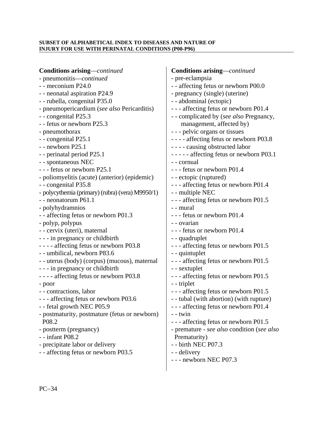| <b>Conditions arising</b> —continued                                                                                                                                                                                                                                                                                                                                                                                                                                                                                                                                                                                                                                    | <b>Conditions arising</b> —continued                                                                                                                                                                                                                                                                                                                                                                                                                                                                                                                                                                     |
|-------------------------------------------------------------------------------------------------------------------------------------------------------------------------------------------------------------------------------------------------------------------------------------------------------------------------------------------------------------------------------------------------------------------------------------------------------------------------------------------------------------------------------------------------------------------------------------------------------------------------------------------------------------------------|----------------------------------------------------------------------------------------------------------------------------------------------------------------------------------------------------------------------------------------------------------------------------------------------------------------------------------------------------------------------------------------------------------------------------------------------------------------------------------------------------------------------------------------------------------------------------------------------------------|
| - pneumonitis—continued                                                                                                                                                                                                                                                                                                                                                                                                                                                                                                                                                                                                                                                 | - pre-eclampsia                                                                                                                                                                                                                                                                                                                                                                                                                                                                                                                                                                                          |
| - - meconium P24.0                                                                                                                                                                                                                                                                                                                                                                                                                                                                                                                                                                                                                                                      | - - affecting fetus or newborn P00.0                                                                                                                                                                                                                                                                                                                                                                                                                                                                                                                                                                     |
| - - neonatal aspiration P24.9                                                                                                                                                                                                                                                                                                                                                                                                                                                                                                                                                                                                                                           | - pregnancy (single) (uterine)                                                                                                                                                                                                                                                                                                                                                                                                                                                                                                                                                                           |
| - - rubella, congenital P35.0                                                                                                                                                                                                                                                                                                                                                                                                                                                                                                                                                                                                                                           | - - abdominal (ectopic)                                                                                                                                                                                                                                                                                                                                                                                                                                                                                                                                                                                  |
| - pneumopericardium (see also Pericarditis)                                                                                                                                                                                                                                                                                                                                                                                                                                                                                                                                                                                                                             | - - - affecting fetus or newborn P01.4                                                                                                                                                                                                                                                                                                                                                                                                                                                                                                                                                                   |
| - - congenital P25.3                                                                                                                                                                                                                                                                                                                                                                                                                                                                                                                                                                                                                                                    | - - complicated by (see also Pregnancy,                                                                                                                                                                                                                                                                                                                                                                                                                                                                                                                                                                  |
| - - fetus or newborn P25.3                                                                                                                                                                                                                                                                                                                                                                                                                                                                                                                                                                                                                                              | management, affected by)                                                                                                                                                                                                                                                                                                                                                                                                                                                                                                                                                                                 |
| - pneumothorax                                                                                                                                                                                                                                                                                                                                                                                                                                                                                                                                                                                                                                                          | - - - pelvic organs or tissues                                                                                                                                                                                                                                                                                                                                                                                                                                                                                                                                                                           |
| - - congenital P25.1                                                                                                                                                                                                                                                                                                                                                                                                                                                                                                                                                                                                                                                    | - - - - affecting fetus or newborn P03.8                                                                                                                                                                                                                                                                                                                                                                                                                                                                                                                                                                 |
| $-$ - newborn P25.1                                                                                                                                                                                                                                                                                                                                                                                                                                                                                                                                                                                                                                                     | - - - - causing obstructed labor                                                                                                                                                                                                                                                                                                                                                                                                                                                                                                                                                                         |
| - - perinatal period P25.1                                                                                                                                                                                                                                                                                                                                                                                                                                                                                                                                                                                                                                              | - - - - - affecting fetus or newborn P03.1                                                                                                                                                                                                                                                                                                                                                                                                                                                                                                                                                               |
| - - spontaneous NEC                                                                                                                                                                                                                                                                                                                                                                                                                                                                                                                                                                                                                                                     | - - cornual                                                                                                                                                                                                                                                                                                                                                                                                                                                                                                                                                                                              |
| - - - fetus or newborn P25.1                                                                                                                                                                                                                                                                                                                                                                                                                                                                                                                                                                                                                                            | --- fetus or newborn P01.4                                                                                                                                                                                                                                                                                                                                                                                                                                                                                                                                                                               |
| - poliomyelitis (acute) (anterior) (epidemic)                                                                                                                                                                                                                                                                                                                                                                                                                                                                                                                                                                                                                           | - - ectopic (ruptured)                                                                                                                                                                                                                                                                                                                                                                                                                                                                                                                                                                                   |
| - - congenital P35.8                                                                                                                                                                                                                                                                                                                                                                                                                                                                                                                                                                                                                                                    | - - - affecting fetus or newborn P01.4                                                                                                                                                                                                                                                                                                                                                                                                                                                                                                                                                                   |
| - polycythemia (primary) (rubra) (vera) M9950/1)                                                                                                                                                                                                                                                                                                                                                                                                                                                                                                                                                                                                                        | - - multiple NEC                                                                                                                                                                                                                                                                                                                                                                                                                                                                                                                                                                                         |
| - - neonatorum P61.1                                                                                                                                                                                                                                                                                                                                                                                                                                                                                                                                                                                                                                                    | --- affecting fetus or newborn P01.5                                                                                                                                                                                                                                                                                                                                                                                                                                                                                                                                                                     |
| - polyhydramnios<br>- - affecting fetus or newborn P01.3<br>- polyp, polypus<br>- - cervix (uteri), maternal<br>- - - in pregnancy or childbirth<br>- - - - affecting fetus or newborn P03.8<br>- - umbilical, newborn P83.6<br>- - uterus (body) (corpus) (mucous), maternal<br>- - - in pregnancy or childbirth<br>- - - - affecting fetus or newborn P03.8<br>- poor<br>- - contractions, labor<br>--- affecting fetus or newborn P03.6<br>- - fetal growth NEC P05.9<br>- postmaturity, postmature (fetus or newborn)<br>P <sub>08.2</sub><br>- postterm (pregnancy)<br>$-$ infant P08.2<br>- precipitate labor or delivery<br>- - affecting fetus or newborn P03.5 | - - mural<br>- - - fetus or newborn P01.4<br>- - ovarian<br>- - - fetus or newborn P01.4<br>- - quadruplet<br>- - - affecting fetus or newborn P01.5<br>- - quintuplet<br>--- affecting fetus or newborn P01.5<br>- - sextuplet<br>--- affecting fetus or newborn P01.5<br>- - triplet<br>- - - affecting fetus or newborn P01.5<br>- - tubal (with abortion) (with rupture)<br>--- affecting fetus or newborn P01.4<br>- - twin<br>- - - affecting fetus or newborn P01.5<br>- premature - see also condition (see also<br>Prematurity)<br>- - birth NEC P07.3<br>- - delivery<br>--- newborn NEC P07.3 |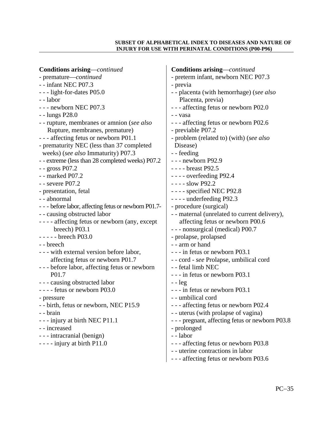| <b>Conditions arising</b> —continued                  | <b>Conditions arising</b> —continued             |
|-------------------------------------------------------|--------------------------------------------------|
| - premature-continued                                 | - preterm infant, newborn NEC P07.3              |
| - - infant NEC P07.3                                  | - previa                                         |
| - - - light-for-dates P05.0                           | - - placenta (with hemorrhage) (see also         |
| - - labor                                             | Placenta, previa)                                |
| - - - newborn NEC P07.3                               | - - - affecting fetus or newborn P02.0           |
| - - lungs P28.0                                       | - - vasa                                         |
| - - rupture, membranes or amnion (see also            | --- affecting fetus or newborn P02.6             |
| Rupture, membranes, premature)                        | - previable P07.2                                |
| - - - affecting fetus or newborn P01.1                | - problem (related to) (with) (see also          |
| - prematurity NEC (less than 37 completed             | Disease)                                         |
| weeks) (see also Immaturity) P07.3                    | - - feeding                                      |
| - - extreme (less than 28 completed weeks) P07.2      | $--$ newborn P92.9                               |
| - - gross P07.2                                       | - - - - breast P92.5                             |
| - - marked P07.2                                      | $--$ overfeeding P92.4                           |
| $-$ - severe P07.2                                    | $---$ slow P92.2                                 |
| - presentation, fetal                                 | - - - - specified NEC P92.8                      |
| - - abnormal                                          | - - - - underfeeding P92.3                       |
| - - - before labor, affecting fetus or newborn P01.7- | - procedure (surgical)                           |
| - - causing obstructed labor                          | - - maternal (unrelated to current delivery),    |
| - - - - affecting fetus or newborn (any, except       | affecting fetus or newborn P00.6                 |
| breech) P03.1                                         | - - - nonsurgical (medical) P00.7                |
| $---$ breech P03.0                                    | - prolapse, prolapsed                            |
| - - breech                                            | - - arm or hand                                  |
| - - - with external version before labor,             | - - - in fetus or newborn P03.1                  |
| affecting fetus or newborn P01.7                      | - - cord - see Prolapse, umbilical cord          |
| --- before labor, affecting fetus or newborn          | - - fetal limb NEC                               |
| P <sub>01.7</sub>                                     | - - - in fetus or newborn P03.1                  |
| - - - causing obstructed labor                        | $-$ - leg                                        |
| - - - - fetus or newborn P03.0                        | - - - in fetus or newborn P03.1                  |
| - pressure                                            | - - umbilical cord                               |
| - - birth, fetus or newborn, NEC P15.9                | - - - affecting fetus or newborn P02.4           |
| - - brain                                             | - - uterus (with prolapse of vagina)             |
| - - - injury at birth NEC P11.1                       | - - - pregnant, affecting fetus or newborn P03.8 |
| - - increased                                         | - prolonged                                      |
| - - - intracranial (benign)                           | - - labor                                        |
| $--$ injury at birth P11.0                            | - - - affecting fetus or newborn P03.8           |
|                                                       | - - uterine contractions in labor                |
|                                                       | - - - affecting fetus or newborn P03.6           |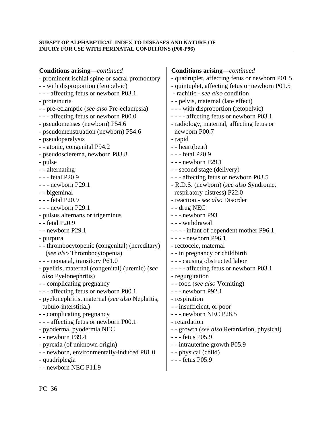| <b>Conditions arising</b> —continued            | <b>Conditions arising</b> —continued           |
|-------------------------------------------------|------------------------------------------------|
| - prominent ischial spine or sacral promontory  | - quadruplet, affecting fetus or newborn P01.5 |
| - - with disproportion (fetopelvic)             | - quintuplet, affecting fetus or newborn P01.5 |
| - - - affecting fetus or newborn P03.1          | - rachitic - see also condition                |
| - proteinuria                                   | - - pelvis, maternal (late effect)             |
| - - pre-eclamptic (see also Pre-eclampsia)      | - - - with disproportion (fetopelvic)          |
| - - - affecting fetus or newborn P00.0          | - - - - affecting fetus or newborn P03.1       |
| - pseudomenses (newborn) P54.6                  | - radiology, maternal, affecting fetus or      |
|                                                 | newborn P00.7                                  |
| - pseudomenstruation (newborn) P54.6            |                                                |
| - pseudoparalysis                               | - rapid                                        |
| - - atonic, congenital P94.2                    | - - heart(beat)                                |
| - pseudosclerema, newborn P83.8                 | - - - fetal P20.9                              |
| - pulse                                         | $--$ newborn P29.1                             |
| - alternating                                   | - - second stage (delivery)                    |
| - - - fetal P20.9                               | - - - affecting fetus or newborn P03.5         |
| $--$ newborn P29.1                              | - R.D.S. (newborn) (see also Syndrome,         |
| - - bigeminal                                   | respiratory distress) P22.0                    |
| - - - fetal P20.9                               | - reaction - see also Disorder                 |
| $--$ newborn P29.1                              | - - drug NEC                                   |
| - pulsus alternans or trigeminus                | - - - newborn P93                              |
| - - fetal P20.9                                 | - - - withdrawal                               |
| $-$ - newborn P29.1                             | - - - - infant of dependent mother P96.1       |
| - purpura                                       | $--$ - newborn P96.1                           |
| - - thrombocytopenic (congenital) (hereditary)  | - rectocele, maternal                          |
| (see also Thrombocytopenia)                     | - - in pregnancy or childbirth                 |
| - - - neonatal, transitory P61.0                | - - - causing obstructed labor                 |
| - pyelitis, maternal (congenital) (uremic) (see | - - - - affecting fetus or newborn P03.1       |
| <i>also</i> Pyelonephritis)                     | - regurgitation                                |
| - - complicating pregnancy                      | - - food (see also Vomiting)                   |
| --- affecting fetus or newborn P00.1            | $--$ newborn P92.1                             |
| - pyelonephritis, maternal (see also Nephritis, | - respiration                                  |
| tubulo-interstitial)                            | - - insufficient, or poor                      |
| - - complicating pregnancy                      | --- newborn NEC P28.5                          |
| - - - affecting fetus or newborn P00.1          | - retardation                                  |
| - pyoderma, pyodermia NEC                       | - - growth (see also Retardation, physical)    |
| - - newborn P39.4                               | - - - fetus P05.9                              |
| - pyrexia (of unknown origin)                   | - - intrauterine growth P05.9                  |
| - - newborn, environmentally-induced P81.0      | - - physical (child)                           |
| - quadriplegia                                  | - - - fetus P05.9                              |
| -- newborn NEC P11.9                            |                                                |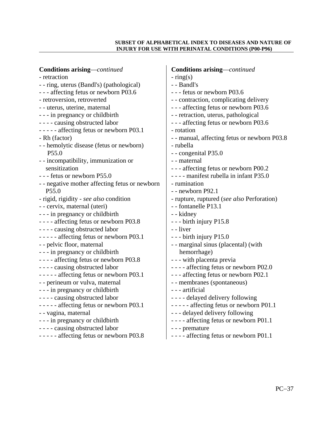| <b>Conditions arising</b> —continued           | <b>Conditions arising</b> —continued         |
|------------------------------------------------|----------------------------------------------|
| - retraction                                   | $-$ ring(s)                                  |
| - - ring, uterus (Bandl's) (pathological)      | - - Bandl's                                  |
| - - - affecting fetus or newborn P03.6         | --- fetus or newborn P03.6                   |
| - retroversion, retroverted                    | - - contraction, complicating delivery       |
| - - uterus, uterine, maternal                  | --- affecting fetus or newborn P03.6         |
| - - - in pregnancy or childbirth               | - - retraction, uterus, pathological         |
| - - - - causing obstructed labor               | --- affecting fetus or newborn P03.6         |
| - - - - - affecting fetus or newborn P03.1     | - rotation                                   |
| - Rh (factor)                                  | - - manual, affecting fetus or newborn P03.8 |
| - - hemolytic disease (fetus or newborn)       | - rubella                                    |
| P <sub>55.0</sub>                              | - - congenital P35.0                         |
| - - incompatibility, immunization or           | - - maternal                                 |
| sensitization                                  | --- affecting fetus or newborn P00.2         |
| --- fetus or newborn P55.0                     | - - - - manifest rubella in infant P35.0     |
| - - negative mother affecting fetus or newborn | - rumination                                 |
| P <sub>55.0</sub>                              | - - newborn P92.1                            |
| - rigid, rigidity - see also condition         | - rupture, ruptured (see also Perforation)   |
| - - cervix, maternal (uteri)                   | - - fontanelle P13.1                         |
| - - - in pregnancy or childbirth               | - - kidney                                   |
| - - - - affecting fetus or newborn P03.8       | - - - birth injury P15.8                     |
| - - - - causing obstructed labor               | - - liver                                    |
| - - - - - affecting fetus or newborn P03.1     | - - - birth injury P15.0                     |
| - - pelvic floor, maternal                     | - - marginal sinus (placental) (with         |
| - - - in pregnancy or childbirth               | hemorrhage)                                  |
| - - - - affecting fetus or newborn P03.8       | - - - with placenta previa                   |
| - - - - causing obstructed labor               | ---- affecting fetus or newborn P02.0        |
| - - - - - affecting fetus or newborn P03.1     | --- affecting fetus or newborn P02.1         |
| - - perineum or vulva, maternal                | - - membranes (spontaneous)                  |
| - - - in pregnancy or childbirth               | - - - artificial                             |
| - - - - causing obstructed labor               | - - - - delayed delivery following           |
| ----- affecting fetus or newborn P03.1         | ----- affecting fetus or newborn P01.1       |
| - - vagina, maternal                           | --- delayed delivery following               |
| - - - in pregnancy or childbirth               | ---- affecting fetus or newborn P01.1        |
| - - - - causing obstructed labor               | - - - premature                              |
| ----- affecting fetus or newborn P03.8         | - - - - affecting fetus or newborn P01.1     |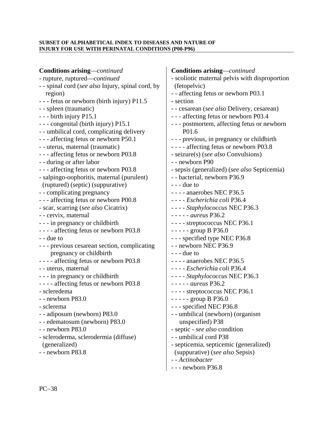| <b>Conditions arising</b> —continued              | Conditions arising-continued                   |
|---------------------------------------------------|------------------------------------------------|
| - rupture, ruptured—continued                     | - scoliotic maternal pelvis with disproportion |
| - - spinal cord (see also Injury, spinal cord, by | (fetopelvic)                                   |
| region)                                           | - - affecting fetus or newborn P03.1           |
| - - - fetus or newborn (birth injury) P11.5       | - section                                      |
| - - spleen (traumatic)                            | - - cesarean (see also Delivery, cesarean)     |
| $-$ - birth injury P15.1                          | - - - affecting fetus or newborn P03.4         |
| - - - congenital (birth injury) P15.1             | - - - postmortem, affecting fetus or newborn   |
| - - umbilical cord, complicating delivery         | P01.6                                          |
| --- affecting fetus or newborn P50.1              | - - - previous, in pregnancy or childbirth     |
| - - uterus, maternal (traumatic)                  | ---- affecting fetus or newborn P03.8          |
| - - - affecting fetus or newborn P03.8            | - seizure(s) (see also Convulsions)            |
| - - during or after labor                         | - - newborn P90                                |
| - - - affecting fetus or newborn P03.8            | - sepsis (generalized) (see also Septicemia)   |
| - salpingo-oophoritis, maternal (purulent)        | - - bacterial, newborn P36.9                   |
| (ruptured) (septic) (suppurative)                 | $- -$ due to                                   |
| - - complicating pregnancy                        | - - - - anaerobes NEC P36.5                    |
| --- affecting fetus or newborn P00.8              | - - - - Escherichia coli P36.4                 |
| - scar, scarring (see also Cicatrix)              | - - - - Staphylococcus NEC P36.3               |
| - - cervix, maternal                              | $---aureus P36.2$                              |
| - - - in pregnancy or childbirth                  | - - - - streptococcus NEC P36.1                |
| ---- affecting fetus or newborn P03.8             | $---$ group B P36.0                            |
| - - due to                                        | - - - specified type NEC P36.8                 |
| - - - previous cesarean section, complicating     | - - newborn NEC P36.9                          |
| pregnancy or childbirth                           | $- -$ - due to                                 |
| - - - - affecting fetus or newborn P03.8          | - - - - anaerobes NEC P36.5                    |
| - - uterus, maternal                              | - - - - Escherichia coli P36.4                 |
| - - - in pregnancy or childbirth                  | - - - - Staphylococcus NEC P36.3               |
| - - - - affecting fetus or newborn P03.8          | $---aureus P36.2$                              |
| - scleredema                                      | - - - - streptococcus NEC P36.1                |
| - - newborn P83.0                                 | $---$ group B P36.0                            |
| - sclerema                                        | - - - specified NEC P36.8                      |
| - - adiposum (newborn) P83.0                      | - - umbilical (newborn) (organism              |
| - - edematosum (newborn) P83.0                    | unspecified) P38                               |
| - - newborn P83.0                                 | - septic - see also condition                  |
| - scleroderma, sclerodermia (diffuse)             | - - umbilical cord P38                         |
| (generalized)                                     | - septicemia, septicemic (generalized)         |
| - - newborn P83.8                                 | (suppurative) (see also Sepsis)                |
|                                                   | -- Actinobacter                                |
|                                                   | - - - newborn P36.8                            |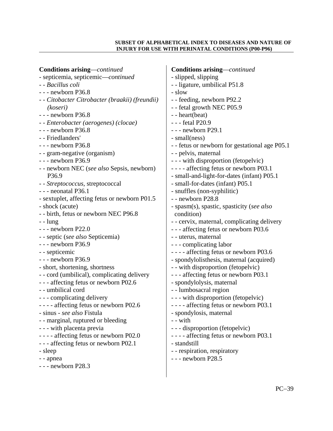| <b>Conditions arising</b> —continued            | <b>Conditions arising</b> —continued           |
|-------------------------------------------------|------------------------------------------------|
| - septicemia, septicemic-continued              | - slipped, slipping                            |
| - - Bacillus coli                               | - - ligature, umbilical P51.8                  |
| $--$ newborn P36.8                              | - slow                                         |
| - - Citobacter Citrobacter (braakii) (freundii) | - - feeding, newborn P92.2                     |
| (koseri)                                        | - - fetal growth NEC P05.9                     |
| $--$ newborn P36.8                              | - - heart(beat)                                |
| - - Enterobacter (aerogenes) (clocae)           | - - - fetal P20.9                              |
| $--$ newborn P36.8                              | $--$ newborn P29.1                             |
| - - Friedlanders'                               | - small(ness)                                  |
| $--$ newborn P36.8                              | - - fetus or newborn for gestational age P05.1 |
| - - gram-negative (organism)                    | - - pelvis, maternal                           |
| $--$ newborn P36.9                              | - - - with disproportion (fetopelvic)          |
| - - newborn NEC (see also Sepsis, newborn)      | - - - - affecting fetus or newborn P03.1       |
| P36.9                                           | - small-and-light-for-dates (infant) P05.1     |
| - - Streptococcus, streptococcal                | - small-for-dates (infant) P05.1               |
| $--$ neonatal P36.1                             | - snuffles (non-syphilitic)                    |
| - sextuplet, affecting fetus or newborn P01.5   | - - newborn P28.8                              |
| - shock (acute)                                 | - spasm(s), spastic, spasticity (see also      |
| - - birth, fetus or newborn NEC P96.8           | condition)                                     |
| $- -$ lung                                      | - - cervix, maternal, complicating delivery    |
| $--$ newborn P22.0                              | --- affecting fetus or newborn P03.6           |
| - - septic (see also Septicemia)                | - - uterus, maternal                           |
| $--$ newborn P36.9                              | - - - complicating labor                       |
| - - septicemic                                  | - - - - affecting fetus or newborn P03.6       |
| $--$ newborn P36.9                              | - spondylolisthesis, maternal (acquired)       |
| - short, shortening, shortness                  | - - with disproportion (fetopelvic)            |
| - - cord (umbilical), complicating delivery     | - - - affecting fetus or newborn P03.1         |
| - - - affecting fetus or newborn P02.6          | - spondylolysis, maternal                      |
| - - umbilical cord                              | - - lumbosacral region                         |
| - - - complicating delivery                     | - - - with disproportion (fetopelvic)          |
| ---- affecting fetus or newborn P02.6           | - - - - affecting fetus or newborn P03.1       |
| - sinus - <i>see also</i> Fistula               | - spondylosis, maternal                        |
| - - marginal, ruptured or bleeding              | - - with                                       |
| - - - with placenta previa                      | - - - disproportion (fetopelvic)               |
| - - - - affecting fetus or newborn P02.0        | - - - - affecting fetus or newborn P03.1       |
| - - - affecting fetus or newborn P02.1          | - standstill                                   |
| - sleep                                         | - - respiration, respiratory                   |
| - - apnea                                       | - - - newborn P28.5                            |
| $--$ newborn P28.3                              |                                                |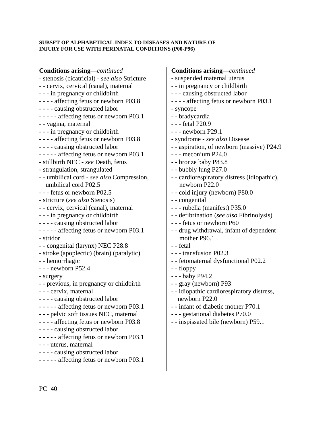**Conditions arising**—*continued*  - stenosis (cicatricial) - *see also* Stricture - - cervix, cervical (canal), maternal - - - in pregnancy or childbirth - - - - affecting fetus or newborn P03.8 - - - - causing obstructed labor - - - - - affecting fetus or newborn P03.1 - - vagina, maternal - - - in pregnancy or childbirth - - - - affecting fetus or newborn P03.8 - - - - causing obstructed labor - - - - - affecting fetus or newborn P03.1 - stillbirth NEC - *see* Death, fetus - strangulation, strangulated - - umbilical cord - *see also* Compression, umbilical cord P02.5 - - - fetus or newborn P02.5 - stricture (*see also* Stenosis) - - cervix, cervical (canal), maternal - - - in pregnancy or childbirth - - - - causing obstructed labor - - - - - affecting fetus or newborn P03.1 - stridor - - congenital (larynx) NEC P28.8 - stroke (apoplectic) (brain) (paralytic) - - hemorrhagic - - - newborn P52.4 - surgery - - previous, in pregnancy or childbirth - - - cervix, maternal - - - - causing obstructed labor - - - - - affecting fetus or newborn P03.1 - - - pelvic soft tissues NEC, maternal - - - - affecting fetus or newborn P03.8 - - - - causing obstructed labor - - - - - affecting fetus or newborn P03.1 - - - uterus, maternal - - - - causing obstructed labor - - - - - affecting fetus or newborn P03.1 **Conditions arising**—*continued*  - suspended maternal uterus - - in pregnancy or childbirth - - - causing obstructed labor - - - - affecting fetus or newborn P03.1 - syncope - - bradycardia - - - fetal P20.9 - - - newborn P29.1 - syndrome - *see also* Disease - - aspiration, of newborn (massive) P24.9 - - - meconium P24.0 - - bronze baby P83.8 - - bubbly lung P27.0 - - cardiorespiratory distress (idiopathic), newborn P22.0 - - cold injury (newborn) P80.0 - - congenital - - - rubella (manifest) P35.0 - - defibrination (*see also* Fibrinolysis) - - - fetus or newborn P60 - - drug withdrawal, infant of dependent mother P96.1 - - fetal - - - transfusion P02.3 - - fetomaternal dysfunctional P02.2 - - floppy - - - baby P94.2 - - gray (newborn) P93 - - idiopathic cardiorespiratory distress, newborn P22.0 - - infant of diabetic mother P70.1 - - - gestational diabetes P70.0 - - inspissated bile (newborn) P59.1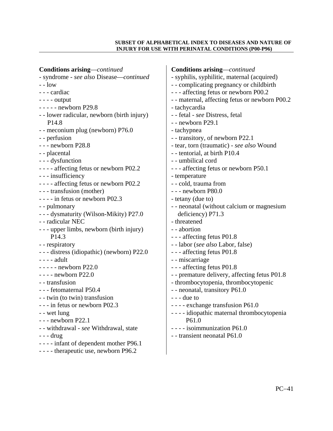| <b>Conditions arising</b> —continued        | <b>Conditions arising</b> —continued           |
|---------------------------------------------|------------------------------------------------|
| - syndrome - see also Disease-continued     | - syphilis, syphilitic, maternal (acquired)    |
| $- -$ low                                   | - - complicating pregnancy or childbirth       |
| - - - cardiac                               | --- affecting fetus or newborn P00.2           |
| $---$ output                                | - - maternal, affecting fetus or newborn P00.2 |
| $----$ newborn P29.8                        | - tachycardia                                  |
| - - lower radicular, newborn (birth injury) | - - fetal - see Distress, fetal                |
| P <sub>14.8</sub>                           | - - newborn P29.1                              |
| - - meconium plug (newborn) P76.0           | - tachypnea                                    |
| - - perfusion                               | - - transitory, of newborn P22.1               |
| $--$ newborn P28.8                          | - tear, torn (traumatic) - see also Wound      |
| - - placental                               | - - tentorial, at birth P10.4                  |
| - - - dysfunction                           | - - umbilical cord                             |
| ---- affecting fetus or newborn P02.2       | --- affecting fetus or newborn P50.1           |
| - - - insufficiency                         | - temperature                                  |
| ---- affecting fetus or newborn P02.2       | - - cold, trauma from                          |
| - - - transfusion (mother)                  | $--$ newborn P80.0                             |
| $---$ in fetus or newborn P02.3             | - tetany (due to)                              |
| - - pulmonary                               | - - neonatal (without calcium or magnesium     |
| - - - dysmaturity (Wilson-Mikity) P27.0     | deficiency) P71.3                              |
| - - radicular NEC                           | - threatened                                   |
| - - - upper limbs, newborn (birth injury)   | - - abortion                                   |
| P <sub>14.3</sub>                           | - - - affecting fetus P01.8                    |
| - - respiratory                             | --labor (see also Labor, false)                |
| - - - distress (idiopathic) (newborn) P22.0 | - - - affecting fetus P01.8                    |
| $---$ adult                                 | - - miscarriage                                |
| $----$ newborn P22.0                        | - - - affecting fetus P01.8                    |
| $---$ newborn P22.0                         | - - premature delivery, affecting fetus P01.8  |
| - - transfusion                             | - thrombocytopenia, thrombocytopenic           |
| - - - fetomaternal P50.4                    | - - neonatal, transitory P61.0                 |
| - - twin (to twin) transfusion              | $- -$ due to                                   |
| - - - in fetus or newborn P02.3             | - - - - exchange transfusion P61.0             |
| - - wet lung                                | - - - - idiopathic maternal thrombocytopenia   |
| $--$ newborn P22.1                          | P61.0                                          |
| - - withdrawal - see Withdrawal, state      | - isoimmunization P61.0                        |
| $-$ - $-$ drug                              | - - transient neonatal P61.0                   |
| - - - - infant of dependent mother P96.1    |                                                |
| - - - - therapeutic use, newborn P96.2      |                                                |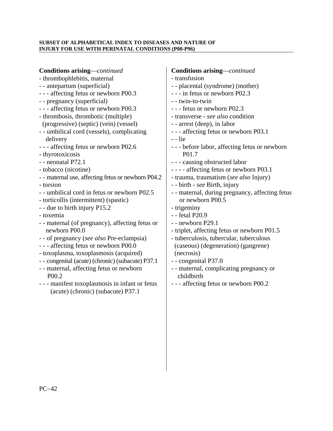| <b>Conditions arising</b> —continued               | Conditions arising-continued                    |
|----------------------------------------------------|-------------------------------------------------|
| - thrombophlebitis, maternal                       | - transfusion                                   |
| - - antepartum (superficial)                       | - - placental (syndrome) (mother)               |
| --- affecting fetus or newborn P00.3               | - - - in fetus or newborn P02.3                 |
| - - pregnancy (superficial)                        | - - twin-to-twin                                |
| --- affecting fetus or newborn P00.3               | - - - fetus or newborn P02.3                    |
| - thrombosis, thrombotic (multiple)                | - transverse - see also condition               |
| (progressive) (septic) (vein) (vessel)             | - - arrest (deep), in labor                     |
| - - umbilical cord (vessels), complicating         | - - - affecting fetus or newborn P03.1          |
| delivery                                           | - - lie                                         |
| --- affecting fetus or newborn P02.6               | --- before labor, affecting fetus or newborn    |
| - thyrotoxicosis                                   | P01.7                                           |
| - - neonatal P72.1                                 | - - - causing obstructed labor                  |
| - tobacco (nicotine)                               | - - - - affecting fetus or newborn P03.1        |
| - - maternal use, affecting fetus or newborn P04.2 | - trauma, traumatism (see also Injury)          |
| - torsion                                          | - - birth - see Birth, injury                   |
| - - umbilical cord in fetus or newborn P02.5       | - - maternal, during pregnancy, affecting fetus |
| - torticollis (intermittent) (spastic)             | or newborn P00.5                                |
| - - due to birth injury P15.2                      | - trigeminy                                     |
| - toxemia                                          | - - fetal P20.9                                 |
| - - maternal (of pregnancy), affecting fetus or    | $-$ - newborn P29.1                             |
| newborn P00.0                                      | - triplet, affecting fetus or newborn P01.5     |
| - - of pregnancy (see also Pre-eclampsia)          | - tuberculosis, tubercular, tuberculous         |
| - - - affecting fetus or newborn P00.0             | (caseous) (degeneration) (gangrene)             |
| - toxoplasma, toxoplasmosis (acquired)             | (necrosis)                                      |
| - - congenital (acute) (chronic) (subacute) P37.1  | - - congenital P37.0                            |
| - - maternal, affecting fetus or newborn           | - - maternal, complicating pregnancy or         |
| P <sub>00.2</sub>                                  | childbirth                                      |
| - - - manifest toxoplasmosis in infant or fetus    | --- affecting fetus or newborn P00.2            |
| (acute) (chronic) (subacute) P37.1                 |                                                 |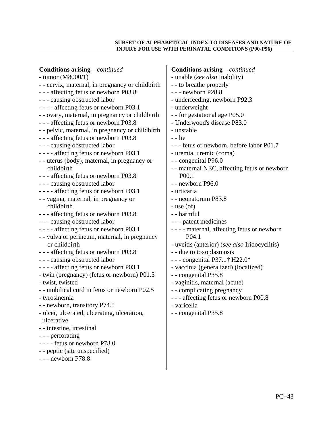| <b>Conditions arising</b> —continued<br>- tumor $(M8000/1)$<br>- - cervix, maternal, in pregnancy or childbirth<br>--- affecting fetus or newborn P03.8<br>- - - causing obstructed labor<br>- - - - affecting fetus or newborn P03.1<br>- - ovary, maternal, in pregnancy or childbirth<br>--- affecting fetus or newborn P03.8<br>- - pelvic, maternal, in pregnancy or childbirth<br>--- affecting fetus or newborn P03.8<br>- - - causing obstructed labor<br>- - - - affecting fetus or newborn P03.1<br>- - uterus (body), maternal, in pregnancy or<br>childbirth<br>--- affecting fetus or newborn P03.8<br>- - - causing obstructed labor<br>---- affecting fetus or newborn P03.1<br>- - vagina, maternal, in pregnancy or<br>childbirth<br>--- affecting fetus or newborn P03.8<br>--- causing obstructed labor<br>- - - - affecting fetus or newborn P03.1<br>- - vulva or perineum, maternal, in pregnancy<br>or childbirth<br>- - - affecting fetus or newborn P03.8<br>- - - causing obstructed labor<br>- - - - affecting fetus or newborn P03.1<br>- twin (pregnancy) (fetus or newborn) P01.5<br>- twist, twisted<br>- - umbilical cord in fetus or newborn P02.5<br>- tyrosinemia<br>- - newborn, transitory P74.5<br>- ulcer, ulcerated, ulcerating, ulceration,<br>ulcerative<br>- - intestine, intestinal<br>- - - perforating<br>- - - - fetus or newborn P78.0<br>- - peptic (site unspecified)<br>$--$ newborn P78.8 | <b>Conditions arising</b> —continued<br>- unable (see also Inability)<br>- - to breathe properly<br>$--$ newborn P28.8<br>- underfeeding, newborn P92.3<br>- underweight<br>- - for gestational age P05.0<br>- Underwood's disease P83.0<br>- unstable<br>- - lie<br>- - - fetus or newborn, before labor P01.7<br>- uremia, uremic (coma)<br>- - congenital P96.0<br>- - maternal NEC, affecting fetus or newborn<br>P <sub>00.1</sub><br>- - newborn P96.0<br>- urticaria<br>- - neonatorum P83.8<br>$-$ use $($ of $)$<br>- - harmful<br>- - - patent medicines<br>- - - - maternal, affecting fetus or newborn<br>P <sub>04.1</sub><br>- uveitis (anterior) (see also Iridocyclitis)<br>- - due to toxoplasmosis<br>- - - congenital P37.1† H22.0*<br>- vaccinia (generalized) (localized)<br>- - congenital P35.8<br>- vaginitis, maternal (acute)<br>- - complicating pregnancy<br>--- affecting fetus or newborn P00.8<br>- varicella<br>- - congenital P35.8 |
|-----------------------------------------------------------------------------------------------------------------------------------------------------------------------------------------------------------------------------------------------------------------------------------------------------------------------------------------------------------------------------------------------------------------------------------------------------------------------------------------------------------------------------------------------------------------------------------------------------------------------------------------------------------------------------------------------------------------------------------------------------------------------------------------------------------------------------------------------------------------------------------------------------------------------------------------------------------------------------------------------------------------------------------------------------------------------------------------------------------------------------------------------------------------------------------------------------------------------------------------------------------------------------------------------------------------------------------------------------------------------------------------------------------------------------------------------|----------------------------------------------------------------------------------------------------------------------------------------------------------------------------------------------------------------------------------------------------------------------------------------------------------------------------------------------------------------------------------------------------------------------------------------------------------------------------------------------------------------------------------------------------------------------------------------------------------------------------------------------------------------------------------------------------------------------------------------------------------------------------------------------------------------------------------------------------------------------------------------------------------------------------------------------------------------------|
|                                                                                                                                                                                                                                                                                                                                                                                                                                                                                                                                                                                                                                                                                                                                                                                                                                                                                                                                                                                                                                                                                                                                                                                                                                                                                                                                                                                                                                               |                                                                                                                                                                                                                                                                                                                                                                                                                                                                                                                                                                                                                                                                                                                                                                                                                                                                                                                                                                      |